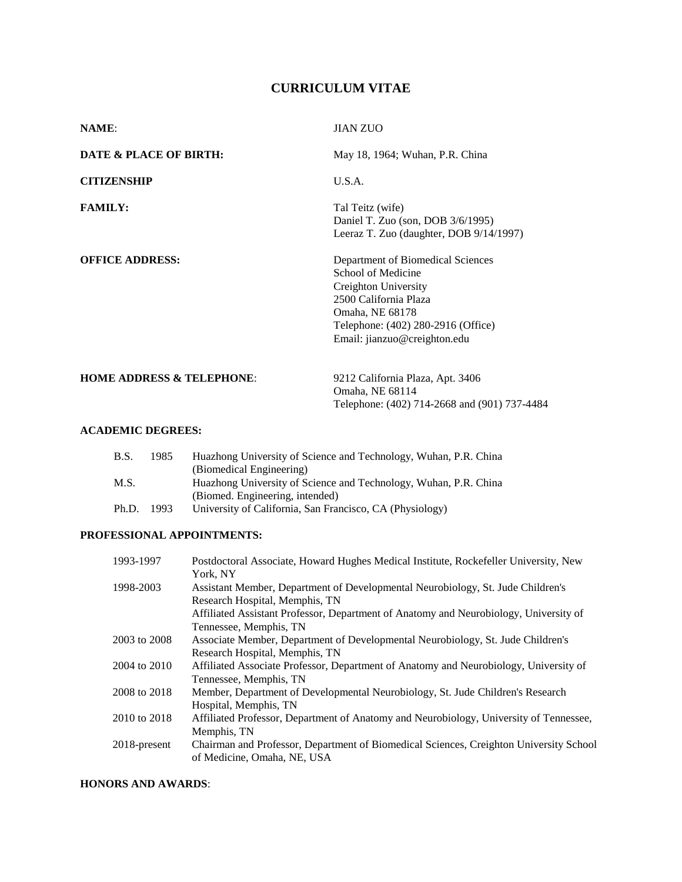# **CURRICULUM VITAE**

| <b>NAME:</b>                         | <b>JIAN ZUO</b>                                                                                                                                                                                   |
|--------------------------------------|---------------------------------------------------------------------------------------------------------------------------------------------------------------------------------------------------|
| DATE & PLACE OF BIRTH:               | May 18, 1964; Wuhan, P.R. China                                                                                                                                                                   |
| <b>CITIZENSHIP</b>                   | U.S.A.                                                                                                                                                                                            |
| <b>FAMILY:</b>                       | Tal Teitz (wife)<br>Daniel T. Zuo (son, DOB 3/6/1995)<br>Leeraz T. Zuo (daughter, DOB 9/14/1997)                                                                                                  |
| <b>OFFICE ADDRESS:</b>               | Department of Biomedical Sciences<br>School of Medicine<br>Creighton University<br>2500 California Plaza<br>Omaha, NE 68178<br>Telephone: (402) 280-2916 (Office)<br>Email: jianzuo@creighton.edu |
| <b>HOME ADDRESS &amp; TELEPHONE:</b> | 9212 California Plaza, Apt. 3406<br>Omaha, NE 68114<br>Telephone: (402) 714-2668 and (901) 737-4484                                                                                               |

## **ACADEMIC DEGREES:**

| B.S.  | 1985 | Huazhong University of Science and Technology, Wuhan, P.R. China |
|-------|------|------------------------------------------------------------------|
|       |      | (Biomedical Engineering)                                         |
| M.S.  |      | Huazhong University of Science and Technology, Wuhan, P.R. China |
|       |      | (Biomed. Engineering, intended)                                  |
| Ph.D. | 1993 | University of California, San Francisco, CA (Physiology)         |

## **PROFESSIONAL APPOINTMENTS:**

| 1993-1997    | Postdoctoral Associate, Howard Hughes Medical Institute, Rockefeller University, New   |
|--------------|----------------------------------------------------------------------------------------|
|              | York, NY                                                                               |
| 1998-2003    | Assistant Member, Department of Developmental Neurobiology, St. Jude Children's        |
|              | Research Hospital, Memphis, TN                                                         |
|              | Affiliated Assistant Professor, Department of Anatomy and Neurobiology, University of  |
|              | Tennessee, Memphis, TN                                                                 |
| 2003 to 2008 | Associate Member, Department of Developmental Neurobiology, St. Jude Children's        |
|              | Research Hospital, Memphis, TN                                                         |
| 2004 to 2010 | Affiliated Associate Professor, Department of Anatomy and Neurobiology, University of  |
|              | Tennessee, Memphis, TN                                                                 |
| 2008 to 2018 | Member, Department of Developmental Neurobiology, St. Jude Children's Research         |
|              | Hospital, Memphis, TN                                                                  |
| 2010 to 2018 | Affiliated Professor, Department of Anatomy and Neurobiology, University of Tennessee, |
|              | Memphis, TN                                                                            |
| 2018-present | Chairman and Professor, Department of Biomedical Sciences, Creighton University School |
|              | of Medicine, Omaha, NE, USA                                                            |

## **HONORS AND AWARDS**: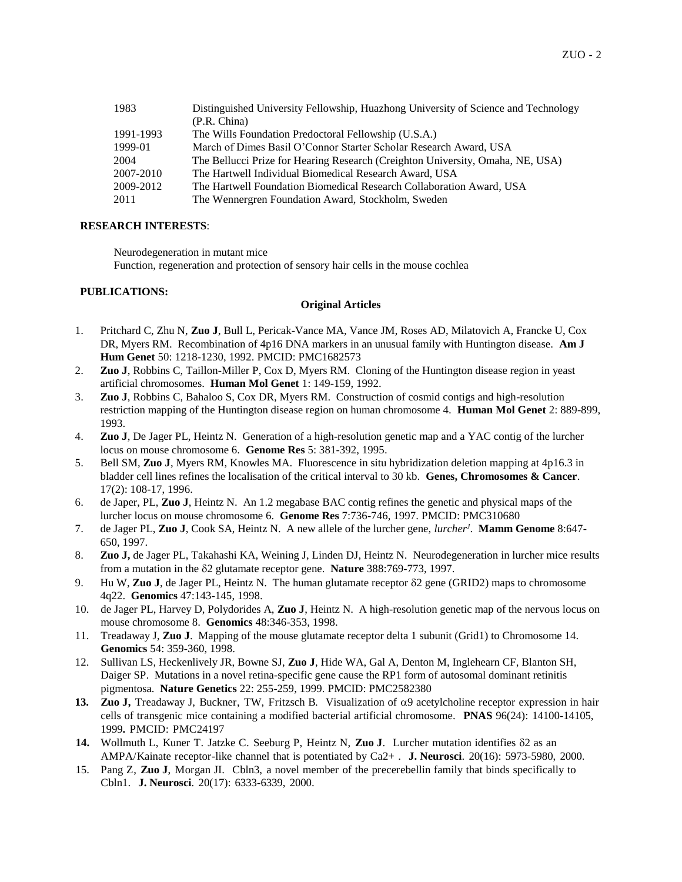| 1983      | Distinguished University Fellowship, Huazhong University of Science and Technology |
|-----------|------------------------------------------------------------------------------------|
|           | (P.R. China)                                                                       |
| 1991-1993 | The Wills Foundation Predoctoral Fellowship (U.S.A.)                               |
| 1999-01   | March of Dimes Basil O'Connor Starter Scholar Research Award, USA                  |
| 2004      | The Bellucci Prize for Hearing Research (Creighton University, Omaha, NE, USA)     |
| 2007-2010 | The Hartwell Individual Biomedical Research Award, USA                             |
| 2009-2012 | The Hartwell Foundation Biomedical Research Collaboration Award, USA               |
| 2011      | The Wennergren Foundation Award, Stockholm, Sweden                                 |
|           |                                                                                    |

#### **RESEARCH INTERESTS**:

Neurodegeneration in mutant mice Function, regeneration and protection of sensory hair cells in the mouse cochlea

#### **PUBLICATIONS:**

#### **Original Articles**

- 1. Pritchard C, Zhu N, **Zuo J**, Bull L, Pericak-Vance MA, Vance JM, Roses AD, Milatovich A, Francke U, Cox DR, Myers RM. Recombination of 4p16 DNA markers in an unusual family with Huntington disease. **Am J Hum Genet** 50: 1218-1230, 1992. PMCID: PMC1682573
- 2. **Zuo J**, Robbins C, Taillon-Miller P, Cox D, Myers RM. Cloning of the Huntington disease region in yeast artificial chromosomes. **Human Mol Genet** 1: 149-159, 1992.
- 3. **Zuo J**, Robbins C, Bahaloo S, Cox DR, Myers RM. Construction of cosmid contigs and high-resolution restriction mapping of the Huntington disease region on human chromosome 4. **Human Mol Genet** 2: 889-899, 1993.
- 4. **Zuo J**, De Jager PL, Heintz N. Generation of a high-resolution genetic map and a YAC contig of the lurcher locus on mouse chromosome 6. **Genome Res** 5: 381-392, 1995.
- 5. Bell SM, **Zuo J**, Myers RM, Knowles MA. Fluorescence in situ hybridization deletion mapping at 4p16.3 in bladder cell lines refines the localisation of the critical interval to 30 kb. **Genes, Chromosomes & Cancer**. 17(2): 108-17, 1996.
- 6. de Japer, PL, **Zuo J**, Heintz N. An 1.2 megabase BAC contig refines the genetic and physical maps of the lurcher locus on mouse chromosome 6. **Genome Res** 7:736-746, 1997. PMCID: PMC310680
- 7. de Jager PL, **Zuo J**, Cook SA, Heintz N. A new allele of the lurcher gene, *lurcher<sup>J</sup>* . **Mamm Genome** 8:647- 650, 1997.
- 8. **Zuo J,** de Jager PL, Takahashi KA, Weining J, Linden DJ, Heintz N. Neurodegeneration in lurcher mice results from a mutation in the  $\delta$ 2 glutamate receptor gene. **Nature** 388:769-773, 1997.
- 9. Hu W, **Zuo J**, de Jager PL, Heintz N. The human glutamate receptor  $\delta$ 2 gene (GRID2) maps to chromosome 4q22. **Genomics** 47:143-145, 1998.
- 10. de Jager PL, Harvey D, Polydorides A, **Zuo J**, Heintz N. A high-resolution genetic map of the nervous locus on mouse chromosome 8. **Genomics** 48:346-353, 1998.
- 11. Treadaway J, **Zuo J**. Mapping of the mouse glutamate receptor delta 1 subunit (Grid1) to Chromosome 14. **Genomics** 54: 359-360, 1998.
- 12. Sullivan LS, Heckenlively JR, Bowne SJ, **Zuo J**, Hide WA, Gal A, Denton M, Inglehearn CF, Blanton SH, Daiger SP. Mutations in a novel retina-specific gene cause the RP1 form of autosomal dominant retinitis pigmentosa. **Nature Genetics** 22: 255-259, 1999. PMCID: PMC2582380
- 13. **Zuo J,** Treadaway J, Buckner, TW, Fritzsch B. Visualization of  $\alpha$ 9 acetylcholine receptor expression in hair cells of transgenic mice containing a modified bacterial artificial chromosome. **PNAS** 96(24): 14100-14105, 1999**.** PMCID: PMC24197
- **14.** Wollmuth L, Kuner T. Jatzke C. Seeburg P, Heintz N, **Zuo J**. Lurcher mutation identifies 2 as an AMPA/Kainate receptor-like channel that is potentiated by Ca2+ . **J. Neurosci**. 20(16): 5973-5980, 2000.
- 15. Pang Z, **Zuo J**, Morgan JI. Cbln3, a novel member of the precerebellin family that binds specifically to Cbln1. **J. Neurosci**. 20(17): 6333-6339, 2000.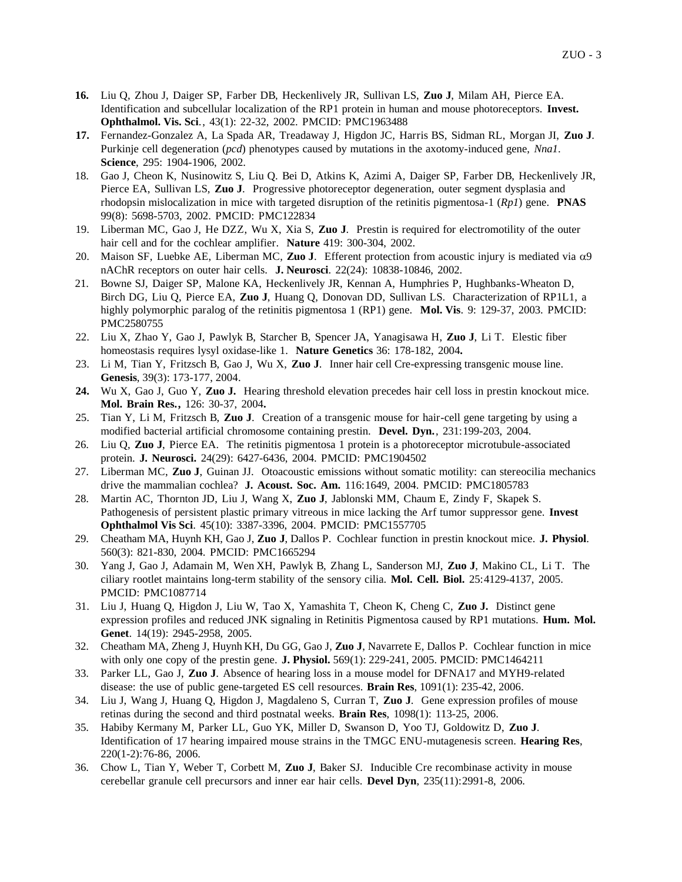- **16.** Liu Q, Zhou J, Daiger SP, Farber DB, Heckenlively JR, Sullivan LS, **Zuo J**, Milam AH, Pierce EA. Identification and subcellular localization of the RP1 protein in human and mouse photoreceptors. **Invest. Ophthalmol. Vis. Sci**., 43(1): 22-32, 2002. PMCID: PMC1963488
- **17.** Fernandez-Gonzalez A, La Spada AR, Treadaway J, Higdon JC, Harris BS, Sidman RL, Morgan JI, **Zuo J**. Purkinje cell degeneration (*pcd*) phenotypes caused by mutations in the axotomy-induced gene, *Nna1*. **Science**, 295: 1904-1906, 2002.
- 18. Gao J, Cheon K, Nusinowitz S, Liu Q. Bei D, Atkins K, Azimi A, Daiger SP, Farber DB, Heckenlively JR, Pierce EA, Sullivan LS, **Zuo J**. Progressive photoreceptor degeneration, outer segment dysplasia and rhodopsin mislocalization in mice with targeted disruption of the retinitis pigmentosa-1 (*Rp1*) gene. **PNAS** 99(8): 5698-5703, 2002. PMCID: PMC122834
- 19. Liberman MC, Gao J, He DZZ, Wu X, Xia S, **Zuo J**. Prestin is required for electromotility of the outer hair cell and for the cochlear amplifier. **Nature** 419: 300-304, 2002.
- 20. Maison SF, Luebke AE, Liberman MC, **Zuo J**. Efferent protection from acoustic injury is mediated via  $\alpha$ 9 nAChR receptors on outer hair cells. **J. Neurosci**. 22(24): 10838-10846, 2002.
- 21. Bowne SJ, Daiger SP, Malone KA, Heckenlively JR, Kennan A, Humphries P, Hughbanks-Wheaton D, Birch DG, Liu Q, Pierce EA, **Zuo J**, Huang Q, Donovan DD, Sullivan LS. Characterization of RP1L1, a highly polymorphic paralog of the retinitis pigmentosa 1 (RP1) gene. **Mol. Vis**. 9: 129-37, 2003. PMCID: PMC2580755
- 22. Liu X, Zhao Y, Gao J, Pawlyk B, Starcher B, Spencer JA, Yanagisawa H, **Zuo J**, Li T. Elestic fiber homeostasis requires lysyl oxidase-like 1. **Nature Genetics** 36: 178-182, 2004**.**
- 23. Li M, Tian Y, Fritzsch B, Gao J, Wu X, **Zuo J**. Inner hair cell Cre-expressing transgenic mouse line. **Genesis**, 39(3): 173-177, 2004.
- **24.** Wu X, Gao J, Guo Y, **Zuo J.** Hearing threshold elevation precedes hair cell loss in prestin knockout mice. **Mol. Brain Res.,** 126: 30-37, 2004**.**
- 25. Tian Y, Li M, Fritzsch B, **Zuo J**. Creation of a transgenic mouse for hair-cell gene targeting by using a modified bacterial artificial chromosome containing prestin. **Devel. Dyn.**, 231:199-203, 2004.
- 26. Liu Q, **Zuo J**, Pierce EA. The retinitis pigmentosa 1 protein is a photoreceptor microtubule-associated protein. **J. Neurosci.** 24(29): 6427-6436, 2004. PMCID: PMC1904502
- 27. Liberman MC, **Zuo J**, Guinan JJ. Otoacoustic emissions without somatic motility: can stereocilia mechanics drive the mammalian cochlea? **J. Acoust. Soc. Am.** 116:1649, 2004. PMCID: PMC1805783
- 28. Martin AC, Thornton JD, Liu J, Wang X, **Zuo J**, Jablonski MM, Chaum E, Zindy F, Skapek S. Pathogenesis of persistent plastic primary vitreous in mice lacking the Arf tumor suppressor gene. **Invest Ophthalmol Vis Sci**. 45(10): 3387-3396, 2004. PMCID: PMC1557705
- 29. Cheatham MA, Huynh KH, Gao J, **Zuo J**, Dallos P. Cochlear function in prestin knockout mice. **J. Physiol**. 560(3): 821-830, 2004. PMCID: PMC1665294
- 30. Yang J, Gao J, Adamain M, Wen XH, Pawlyk B, Zhang L, Sanderson MJ, **Zuo J**, Makino CL, Li T. The ciliary rootlet maintains long-term stability of the sensory cilia. **Mol. Cell. Biol.** 25:4129-4137, 2005. PMCID: PMC1087714
- 31. Liu J, Huang Q, Higdon J, Liu W, Tao X, Yamashita T, Cheon K, Cheng C, **Zuo J.** Distinct gene expression profiles and reduced JNK signaling in Retinitis Pigmentosa caused by RP1 mutations. **Hum. Mol. Genet**. 14(19): 2945-2958, 2005.
- 32. Cheatham MA, Zheng J, Huynh KH, Du GG, Gao J, **Zuo J**, Navarrete E, Dallos P. Cochlear function in mice with only one copy of the prestin gene. **J. Physiol.** 569(1): 229-241, 2005. PMCID: PMC1464211
- 33. Parker LL, Gao J, **Zuo J**. Absence of hearing loss in a mouse model for DFNA17 and MYH9-related disease: the use of public gene-targeted ES cell resources. **Brain Res**, 1091(1): 235-42, 2006.
- 34. Liu J, Wang J, Huang Q, Higdon J, Magdaleno S, Curran T, **Zuo J**. Gene expression profiles of mouse retinas during the second and third postnatal weeks. **Brain Res**, 1098(1): 113-25, 2006.
- 35. Habiby Kermany M, Parker LL, Guo YK, Miller D, Swanson D, Yoo TJ, Goldowitz D, **Zuo J**. Identification of 17 hearing impaired mouse strains in the TMGC ENU-mutagenesis screen. **Hearing Res**, 220(1-2):76-86, 2006.
- 36. Chow L, Tian Y, Weber T, Corbett M, **Zuo J**, Baker SJ. Inducible Cre recombinase activity in mouse cerebellar granule cell precursors and inner ear hair cells. **Devel Dyn**, 235(11):2991-8, 2006.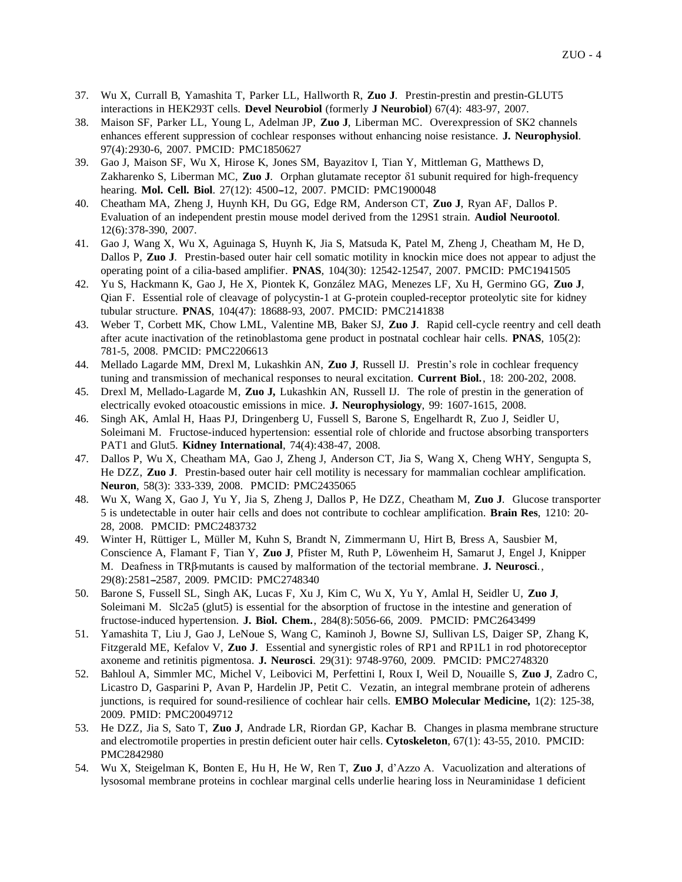- 37. Wu X, Currall B, Yamashita T, Parker LL, Hallworth R, **Zuo J**. Prestin-prestin and prestin-GLUT5 interactions in HEK293T cells. **Devel Neurobiol** (formerly **J Neurobiol**) 67(4): 483-97, 2007.
- 38. Maison SF, Parker LL, Young L, Adelman JP, **Zuo J**, Liberman MC. Overexpression of SK2 channels enhances efferent suppression of cochlear responses without enhancing noise resistance. **J. Neurophysiol**. 97(4):2930-6, 2007. PMCID: PMC1850627
- 39. Gao J, Maison SF, Wu X, Hirose K, Jones SM, Bayazitov I, Tian Y, Mittleman G, Matthews D, Zakharenko S, Liberman MC, Zuo J. Orphan glutamate receptor  $\delta$ 1 subunit required for high-frequency hearing. Mol. Cell. Biol. 27(12): 4500-12, 2007. PMCID: PMC1900048
- 40. Cheatham MA, Zheng J, Huynh KH, Du GG, Edge RM, Anderson CT, **Zuo J**, Ryan AF, Dallos P. Evaluation of an independent prestin mouse model derived from the 129S1 strain. **Audiol Neurootol**. 12(6):378-390, 2007.
- 41. Gao J, Wang X, Wu X, Aguinaga S, Huynh K, Jia S, Matsuda K, Patel M, Zheng J, Cheatham M, He D, Dallos P, **Zuo J**. Prestin-based outer hair cell somatic motility in knockin mice does not appear to adjust the operating point of a cilia-based amplifier. **PNAS**, 104(30): 12542-12547, 2007. PMCID: PMC1941505
- 42. Yu S, Hackmann K, Gao J, He X, Piontek K, González MAG, Menezes LF, Xu H, Germino GG, **Zuo J**, Qian F. Essential role of cleavage of polycystin-1 at G-protein coupled-receptor proteolytic site for kidney tubular structure. **PNAS**, 104(47): 18688-93, 2007. PMCID: PMC2141838
- 43. Weber T, Corbett MK, Chow LML, Valentine MB, Baker SJ, **Zuo J**. Rapid cell-cycle reentry and cell death after acute inactivation of the retinoblastoma gene product in postnatal cochlear hair cells. **PNAS**, 105(2): 781-5, 2008. PMCID: PMC2206613
- 44. Mellado Lagarde MM, Drexl M, Lukashkin AN, **Zuo J**, Russell IJ. Prestin's role in cochlear frequency tuning and transmission of mechanical responses to neural excitation. **Current Biol.**, 18: 200-202, 2008.
- 45. Drexl M, Mellado-Lagarde M, **Zuo J,** Lukashkin AN, Russell IJ. The role of prestin in the generation of electrically evoked otoacoustic emissions in mice. **J. Neurophysiology**, 99: 1607-1615, 2008.
- 46. Singh AK, Amlal H, Haas PJ, Dringenberg U, Fussell S, Barone S, Engelhardt R, Zuo J, Seidler U, Soleimani M. Fructose-induced hypertension: essential role of chloride and fructose absorbing transporters PAT1 and Glut5. **Kidney International**, 74(4):438-47, 2008.
- 47. Dallos P, Wu X, Cheatham MA, Gao J, Zheng J, Anderson CT, Jia S, Wang X, Cheng WHY, Sengupta S, He DZZ, **Zuo J**. Prestin-based outer hair cell motility is necessary for mammalian cochlear amplification. **Neuron**, 58(3): 333-339, 2008. PMCID: [PMC2435065](http://www.pubmedcentral.gov/articlerender.fcgi?tool=nihms&artid=2435065)
- 48. Wu X, Wang X, Gao J, Yu Y, Jia S, Zheng J, Dallos P, He DZZ, Cheatham M, **Zuo J**. Glucose transporter 5 is undetectable in outer hair cells and does not contribute to cochlear amplification. **Brain Res**, 1210: 20- 28, 2008. PMCID: [PMC2483732](http://www.pubmedcentral.gov/articlerender.fcgi?tool=nihms&artid=2483732)
- 49. Winter H, Rüttiger L, Müller M, Kuhn S, Brandt N, Zimmermann U, Hirt B, Bress A, Sausbier M, Conscience A, Flamant F, Tian Y, **Zuo J**, Pfister M, Ruth P, Löwenheim H, Samarut J, Engel J, Knipper M. Deafness in TRβ-mutants is caused by malformation of the tectorial membrane. **J. Neurosci**., 29(8):2581-2587, 2009. PMCID: [PMC2748340](http://www.pubmedcentral.gov/articlerender.fcgi?tool=nihms&artid=2748340)
- 50. Barone S, Fussell SL, Singh AK, Lucas F, Xu J, Kim C, Wu X, Yu Y, Amlal H, Seidler U, **Zuo J**, Soleimani M. Slc2a5 (glut5) is essential for the absorption of fructose in the intestine and generation of fructose-induced hypertension. **J. Biol. Chem.**, 284(8):5056-66, 2009. PMCID: PMC2643499
- 51. Yamashita T, Liu J, Gao J, LeNoue S, Wang C, Kaminoh J, Bowne SJ, Sullivan LS, Daiger SP, Zhang K, Fitzgerald ME, Kefalov V, **Zuo J**. Essential and synergistic roles of RP1 and RP1L1 in rod photoreceptor axoneme and retinitis pigmentosa. **J. Neurosci**. 29(31): 9748-9760, 2009. PMCID: [PMC2748320](http://www.pubmedcentral.gov/articlerender.fcgi?tool=nihms&artid=2748320)
- 52. Bahloul A, Simmler MC, Michel V, Leibovici M, Perfettini I, Roux I, Weil D, Nouaille S, **Zuo J**, Zadro C, Licastro D, Gasparini P, Avan P, Hardelin JP, Petit C. Vezatin, an integral membrane protein of adherens junctions, is required for sound-resilience of cochlear hair cells. **EMBO Molecular Medicine,** 1(2): 125-38, 2009. PMID: PMC20049712
- 53. He DZZ, Jia S, Sato T, **Zuo J**, Andrade LR, Riordan GP, Kachar B. Changes in plasma membrane structure and electromotile properties in prestin deficient outer hair cells. **Cytoskeleton**, 67(1): 43-55, 2010. PMCID: PMC2842980
- 54. Wu X, Steigelman K, Bonten E, Hu H, He W, Ren T, **Zuo J**, d'Azzo A. Vacuolization and alterations of lysosomal membrane proteins in cochlear marginal cells underlie hearing loss in Neuraminidase 1 deficient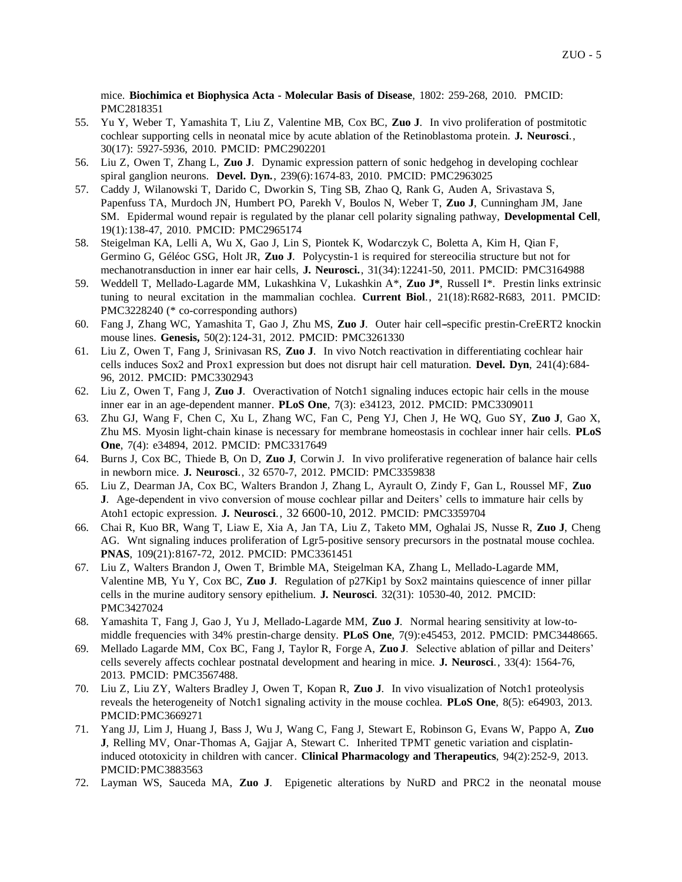mice. **Biochimica et Biophysica Acta - Molecular Basis of Disease**, 1802: 259-268, 2010. PMCID: [PMC2818351](http://www.pubmedcentral.gov/articlerender.fcgi?tool=nihms&artid=2818351)

- 55. Yu Y, Weber T, Yamashita T, Liu Z, Valentine MB, Cox BC, **Zuo J**. In vivo proliferation of postmitotic cochlear supporting cells in neonatal mice by acute ablation of the Retinoblastoma protein. **J. Neurosci**., 30(17): 5927-5936, 2010. PMCID: [PMC2902201](http://www.pubmedcentral.gov/articlerender.fcgi?tool=nihms&artid=2902201)
- 56. Liu Z, Owen T, Zhang L, **Zuo J**. Dynamic expression pattern of sonic hedgehog in developing cochlear spiral ganglion neurons. **Devel. Dyn.**, 239(6):1674-83, 2010. PMCID: PMC2963025
- 57. Caddy J, Wilanowski T, Darido C, Dworkin S, Ting SB, Zhao Q, Rank G, Auden A, Srivastava S, Papenfuss TA, Murdoch JN, Humbert PO, [Parekh V,](http://www.ncbi.nlm.nih.gov/pubmed?term=%22Parekh%20V%22%5BAuthor%5D) Boulos N, Weber T, **Zuo J**, Cunningham JM, Jane SM. Epidermal wound repair is regulated by the planar cell polarity signaling pathway, **Developmental Cell**, 19(1):138-47, 2010. PMCID: PMC2965174
- 58. Steigelman KA, Lelli A, Wu X, Gao J, Lin S, Piontek K, Wodarczyk C, Boletta A, Kim H, Qian F, Germino G, Géléoc GSG, Holt JR, **Zuo J**. Polycystin-1 is required for stereocilia structure but not for mechanotransduction in inner ear hair cells, **J. Neurosci.**, 31(34):12241-50, 2011. PMCID: PMC3164988
- 59. Weddell T, Mellado-Lagarde MM, Lukashkina V, Lukashkin A\*, **Zuo J\***, Russell I\*. Prestin links extrinsic tuning to neural excitation in the mammalian cochlea. **Current Biol**., 21(18):R682-R683, 2011. PMCID: PMC3228240 (\* co-corresponding authors)
- 60. Fang J, Zhang WC, Yamashita T, Gao J, Zhu MS, **Zuo J**. Outer hair cell--specific prestin-CreERT2 knockin mouse lines. **Genesis,** 50(2):124-31, 2012. PMCID: PMC3261330
- 61. Liu Z, Owen T, Fang J, Srinivasan RS, **Zuo J**. In vivo Notch reactivation in differentiating cochlear hair cells induces Sox2 and Prox1 expression but does not disrupt hair cell maturation. **Devel. Dyn**, 241(4):684- 96, 2012. PMCID: PMC3302943
- 62. Liu Z, Owen T, Fang J, **Zuo J**. Overactivation of Notch1 signaling induces ectopic hair cells in the mouse inner ear in an age-dependent manner. **PLoS One**, 7(3): e34123, 2012. PMCID: PMC3309011
- 63. Zhu GJ, Wang F, Chen C, Xu L, Zhang WC, Fan C, Peng YJ, Chen J, He WQ, Guo SY, **Zuo J**, Gao X, Zhu MS. [Myosin light-chain kinase is necessary for membrane homeostasis in cochlear inner hair cells.](http://www.ncbi.nlm.nih.gov/pubmed/22485190) **PLoS One**, 7(4): e34894, 2012. PMCID: PMC3317649
- 64. Burns J, Cox BC, Thiede B, On D, **Zuo J**, Corwin J. In vivo proliferative regeneration of balance hair cells in newborn mice. **J. Neurosci**., 32 6570-7, 2012. PMCID: PMC3359838
- 65. Liu Z, Dearman JA, Cox BC, Walters Brandon J, Zhang L, Ayrault O, Zindy F, Gan L, Roussel MF, **Zuo J**. Age-dependent in vivo conversion of mouse cochlear pillar and Deiters' cells to immature hair cells by Atoh1 ectopic expression. **J. Neurosci**., 32 6600-10, 2012. PMCID: PMC3359704
- 66. Chai R, Kuo BR, Wang T, Liaw E, Xia A, Jan TA, Liu Z, Taketo MM, Oghalai JS, Nusse R, **Zuo J**, Cheng AG. Wnt signaling induces proliferation of Lgr5-positive sensory precursors in the postnatal mouse cochlea. **PNAS**, 109(21):8167-72, 2012. PMCID: PMC3361451
- 67. Liu Z, Walters Brandon J, Owen T, Brimble MA, Steigelman KA, Zhang L, Mellado-Lagarde MM, Valentine MB, Yu Y, Cox BC, **Zuo J**. Regulation of p27Kip1 by Sox2 maintains quiescence of inner pillar cells in the murine auditory sensory epithelium. **J. Neurosci**. 32(31): 10530-40, 2012. PMCID: PMC3427024
- 68. Yamashita T, Fang J, Gao J, Yu J, Mellado-Lagarde MM, **Zuo J**. Normal hearing sensitivity at low-tomiddle frequencies with 34% prestin-charge density. **PLoS One**, 7(9):e45453, 2012. PMCID: PMC3448665.
- 69. Mellado Lagarde MM, Cox BC, Fang J, Taylor R, Forge A, **Zuo J**. Selective ablation of pillar and Deiters' cells severely affects cochlear postnatal development and hearing in mice. **J. Neurosci**., 33(4): 1564-76, 2013. PMCID: PMC3567488.
- 70. Liu Z, Liu ZY, Walters Bradley J, Owen T, Kopan R, **Zuo J**. In vivo visualization of Notch1 proteolysis reveals the heterogeneity of Notch1 signaling activity in the mouse cochlea. **PLoS One**, 8(5): e64903, 2013. PMCID:PMC3669271
- 71. Yang JJ, Lim J, Huang J, Bass J, Wu J, Wang C, Fang J, Stewart E, Robinson G, Evans W, Pappo A, **Zuo J**, Relling MV, Onar-Thomas A, Gajjar A, Stewart C. Inherited TPMT genetic variation and cisplatininduced ototoxicity in children with cancer. **Clinical Pharmacology and Therapeutics**, 94(2):252-9, 2013. PMCID:PMC3883563
- 72. Layman WS, Sauceda MA, **Zuo J**. Epigenetic alterations by NuRD and PRC2 in the neonatal mouse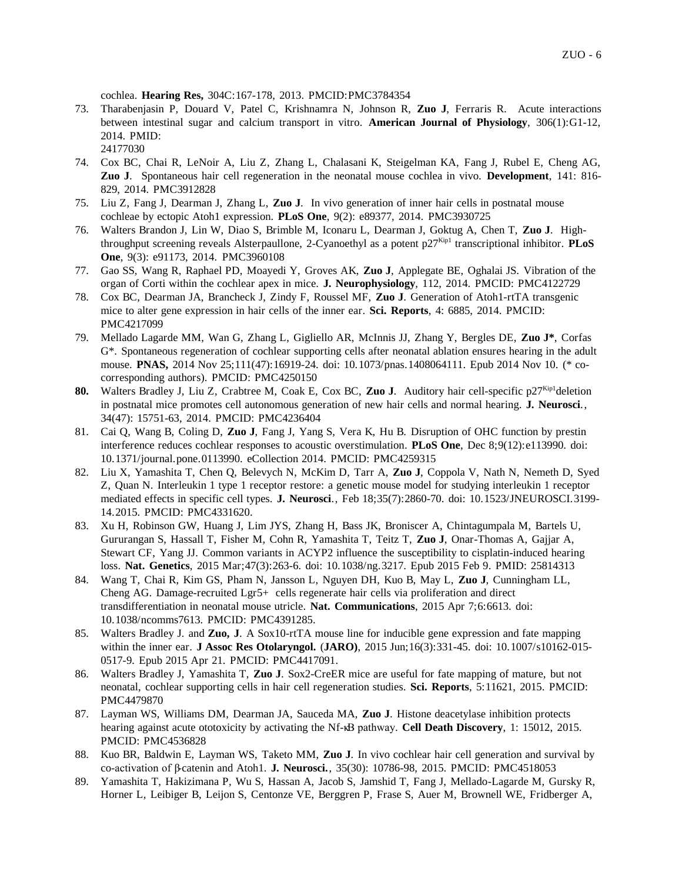cochlea. **Hearing Res,** 304C:167-178, 2013. PMCID:PMC3784354

- 73. Tharabenjasin P, Douard V, Patel C, Krishnamra N, Johnson R, **Zuo J**, Ferraris R. Acute interactions between intestinal sugar and calcium transport in vitro. **American Journal of Physiology**, 306(1):G1-12, 2014. PMID:
	- 24177030
- 74. Cox BC, Chai R, LeNoir A, Liu Z, Zhang L, Chalasani K, Steigelman KA, Fang J, Rubel E, Cheng AG, **Zuo J**. Spontaneous hair cell regeneration in the neonatal mouse cochlea in vivo. **Development**, 141: 816- 829, 2014. PMC3912828
- 75. Liu Z, Fang J, Dearman J, Zhang L, **Zuo J**. In vivo generation of inner hair cells in postnatal mouse cochleae by ectopic Atoh1 expression. **PLoS One**, 9(2): e89377, 2014. PMC3930725
- 76. Walters Brandon J, Lin W, Diao S, Brimble M, Iconaru L, Dearman J, Goktug A, Chen T, **Zuo J**. Highthroughput screening reveals Alsterpaullone, 2-Cyanoethyl as a potent  $p27^{Kip1}$  transcriptional inhibitor. **PLoS One**, 9(3): e91173, 2014. PMC3960108
- 77. Gao SS, Wang R, Raphael PD, Moayedi Y, Groves AK, **Zuo J**, Applegate BE, Oghalai JS. Vibration of the organ of Corti within the cochlear apex in mice. **J. Neurophysiology**, 112, 2014. PMCID: PMC4122729
- 78. Cox BC, Dearman JA, Brancheck J, Zindy F, Roussel MF, **Zuo J**. Generation of Atoh1-rtTA transgenic mice to alter gene expression in hair cells of the inner ear. **Sci. Reports**, 4: 6885, 2014. PMCID: PMC4217099
- 79. Mellado Lagarde MM, Wan G, Zhang L, Gigliello AR, McInnis JJ, Zhang Y, Bergles DE, **Zuo J\***, Corfas G\*. Spontaneous regeneration of cochlear supporting cells after neonatal ablation ensures hearing in the adult mouse. **PNAS,** 2014 Nov 25;111(47):16919-24. doi: 10.1073/pnas.1408064111. Epub 2014 Nov 10. (\* cocorresponding authors). PMCID: PMC4250150
- 80. Walters Bradley J, Liu Z, Crabtree M, Coak E, Cox BC, Zuo J. Auditory hair cell-specific p27<sup>Kip1</sup>deletion in postnatal mice promotes cell autonomous generation of new hair cells and normal hearing. **J. Neurosci**., 34(47): 15751-63, 2014. PMCID: PMC4236404
- 81. Cai Q, Wang B, Coling D, **Zuo J**, Fang J, Yang S, Vera K, Hu B. Disruption of OHC function by prestin interference reduces cochlear responses to acoustic overstimulation. **PLoS One**, Dec 8;9(12):e113990. doi: 10.1371/journal.pone.0113990. eCollection 2014. PMCID: PMC4259315
- 82. Liu X, Yamashita T, Chen Q, Belevych N, McKim D, Tarr A, **Zuo J**, Coppola V, Nath N, Nemeth D, Syed Z, Quan N. Interleukin 1 type 1 receptor restore: a genetic mouse model for studying interleukin 1 receptor mediated effects in specific cell types. **J. Neurosci**., Feb 18;35(7):2860-70. doi: 10.1523/JNEUROSCI.3199- 14.2015. PMCID: PMC4331620.
- 83. Xu H, Robinson GW, Huang J, Lim JYS, Zhang H, Bass JK, Broniscer A, Chintagumpala M, Bartels U, Gururangan S, Hassall T, Fisher M, Cohn R, Yamashita T, Teitz T, **Zuo J**, Onar-Thomas A, Gajjar A, Stewart CF, Yang JJ. Common variants in ACYP2 influence the susceptibility to cisplatin-induced hearing loss. **Nat. Genetics**, 2015 Mar;47(3):263-6. doi: 10.1038/ng.3217. Epub 2015 Feb 9. PMID: 25814313
- 84. Wang T, Chai R, Kim GS, Pham N, Jansson L, Nguyen DH, Kuo B, May L, **Zuo J**, Cunningham LL, Cheng AG. Damage-recruited Lgr5+ cells regenerate hair cells via proliferation and direct transdifferentiation in neonatal mouse utricle. **Nat. Communications**, 2015 Apr 7;6:6613. doi: 10.1038/ncomms7613. PMCID: PMC4391285.
- 85. Walters Bradley J. and **Zuo, J**. A Sox10-rtTA mouse line for inducible gene expression and fate mapping within the inner ear. **J Assoc Res Otolaryngol.** (**JARO)**, 2015 Jun;16(3):331-45. doi: 10.1007/s10162-015- 0517-9. Epub 2015 Apr 21. PMCID: PMC4417091.
- 86. Walters Bradley J, Yamashita T, **Zuo J**. Sox2-CreER mice are useful for fate mapping of mature, but not neonatal, cochlear supporting cells in hair cell regeneration studies. **Sci. Reports**, 5:11621, 2015. PMCID: PMC4479870
- 87. Layman WS, Williams DM, Dearman JA, Sauceda MA, **Zuo J**. Histone deacetylase inhibition protects hearing against acute ototoxicity by activating the Nf-κB pathway. **Cell Death Discovery**, 1: 15012, 2015. PMCID: PMC4536828
- 88. Kuo BR, Baldwin E, Layman WS, Taketo MM, **Zuo J**. In vivo cochlear hair cell generation and survival by co-activation of β-catenin and Atoh1. **J. Neurosci.**, 35(30): 10786-98, 2015. PMCID: PMC4518053
- 89. Yamashita T, Hakizimana P, Wu S, Hassan A, Jacob S, Jamshid T, Fang J, Mellado-Lagarde M, Gursky R, Horner L, Leibiger B, Leijon S, Centonze VE, Berggren P, Frase S, Auer M, Brownell WE, Fridberger A,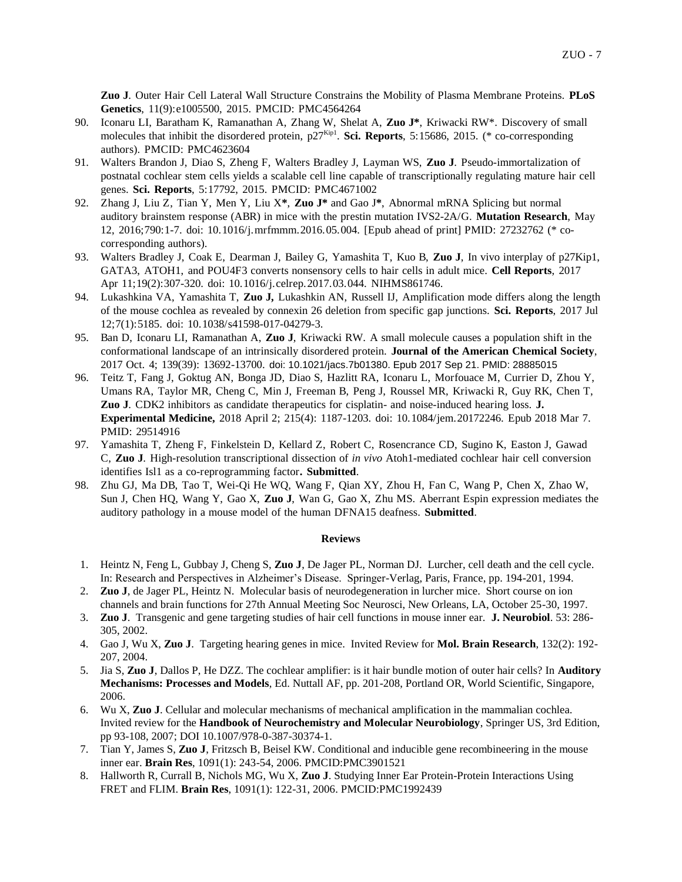**Zuo J**. Outer Hair Cell Lateral Wall Structure Constrains the Mobility of Plasma Membrane Proteins. **PLoS Genetics**, 11(9):e1005500, 2015. PMCID: PMC4564264

- 90. Iconaru LI, Baratham K, Ramanathan A, Zhang W, Shelat A, **Zuo J\***, Kriwacki RW\*. Discovery of small molecules that inhibit the disordered protein, p27<sup>Kip1</sup>. Sci. Reports, 5:15686, 2015. (\* co-corresponding authors). PMCID: PMC4623604
- 91. Walters Brandon J, Diao S, Zheng F, Walters Bradley J, Layman WS, **Zuo J**. Pseudo-immortalization of postnatal cochlear stem cells yields a scalable cell line capable of transcriptionally regulating mature hair cell genes. **Sci. Reports**, 5:17792, 2015. PMCID: PMC4671002
- 92. Zhang J, Liu Z, Tian Y, Men Y, Liu X**\***, **Zuo J\*** and Gao J**\***, Abnormal mRNA Splicing but normal auditory brainstem response (ABR) in mice with the prestin mutation IVS2-2A/G. **Mutation Research**, May 12, 2016;790:1-7. doi: 10.1016/j.mrfmmm.2016.05.004. [Epub ahead of print] PMID: 27232762 (\* cocorresponding authors).
- 93. Walters Bradley J, Coak E, Dearman J, Bailey G, Yamashita T, Kuo B, **Zuo J**, In vivo interplay of p27Kip1, GATA3, ATOH1, and POU4F3 converts nonsensory cells to hair cells in adult mice. **Cell Reports**, 2017 Apr 11;19(2):307-320. doi: 10.1016/j.celrep.2017.03.044. NIHMS861746.
- 94. Lukashkina VA, Yamashita T, **Zuo J,** Lukashkin AN, Russell IJ, Amplification mode differs along the length of the mouse cochlea as revealed by connexin 26 deletion from specific gap junctions. **Sci. Reports**, 2017 Jul 12;7(1):5185. doi: 10.1038/s41598-017-04279-3.
- 95. Ban D, Iconaru LI, Ramanathan A, **Zuo J**, Kriwacki RW. A small molecule causes a population shift in the conformational landscape of an intrinsically disordered protein. **Journal of the American Chemical Society**, 2017 Oct. 4; 139(39): 13692-13700. doi: 10.1021/jacs.7b01380. Epub 2017 Sep 21. PMID: 28885015
- 96. Teitz T, Fang J, Goktug AN, Bonga JD, Diao S, Hazlitt RA, Iconaru L, Morfouace M, Currier D, Zhou Y, Umans RA, Taylor MR, Cheng C, Min J, Freeman B, Peng J, Roussel MR, Kriwacki R, Guy RK, Chen T, **Zuo J**. CDK2 inhibitors as candidate therapeutics for cisplatin- and noise-induced hearing loss. **J. Experimental Medicine,** 2018 April 2; 215(4): 1187-1203. doi: 10.1084/jem.20172246. Epub 2018 Mar 7. PMID: 29514916
- 97. Yamashita T, Zheng F, Finkelstein D, Kellard Z, Robert C, Rosencrance CD, Sugino K, Easton J, Gawad C, **Zuo J**. High-resolution transcriptional dissection of *in vivo* Atoh1-mediated cochlear hair cell conversion identifies Isl1 as a co-reprogramming factor**. Submitted**.
- 98. Zhu GJ, Ma DB, Tao T, Wei-Qi He WQ, Wang F, Qian XY, Zhou H, Fan C, Wang P, Chen X, Zhao W, Sun J, Chen HQ, Wang Y, Gao X, **Zuo J**, Wan G, Gao X, Zhu MS. Aberrant Espin expression mediates the auditory pathology in a mouse model of the human DFNA15 deafness. **Submitted**.

#### **Reviews**

- 1. Heintz N, Feng L, Gubbay J, Cheng S, **Zuo J**, De Jager PL, Norman DJ. Lurcher, cell death and the cell cycle. In: Research and Perspectives in Alzheimer's Disease. Springer-Verlag, Paris, France, pp. 194-201, 1994.
- 2. **Zuo J**, de Jager PL, Heintz N. Molecular basis of neurodegeneration in lurcher mice. Short course on ion channels and brain functions for 27th Annual Meeting Soc Neurosci, New Orleans, LA, October 25-30, 1997.
- 3. **Zuo J**. Transgenic and gene targeting studies of hair cell functions in mouse inner ear. **J. Neurobiol**. 53: 286- 305, 2002.
- 4. Gao J, Wu X, **Zuo J**. Targeting hearing genes in mice. Invited Review for **Mol. Brain Research**, 132(2): 192- 207, 2004.
- 5. Jia S, **Zuo J**, Dallos P, He DZZ. The cochlear amplifier: is it hair bundle motion of outer hair cells? In **Auditory Mechanisms: Processes and Models**, Ed. Nuttall AF, pp. 201-208, Portland OR, World Scientific, Singapore, 2006.
- 6. Wu X, **Zuo J**. Cellular and molecular mechanisms of mechanical amplification in the mammalian cochlea. Invited review for the **Handbook of Neurochemistry and Molecular Neurobiology**, Springer US, 3rd Edition, pp 93-108, 2007; DOI 10.1007/978-0-387-30374-1.
- 7. Tian Y, James S, **Zuo J**, Fritzsch B, Beisel KW. Conditional and inducible gene recombineering in the mouse inner ear. **Brain Res**, 1091(1): 243-54, 2006. PMCID:PMC3901521
- 8. Hallworth R, Currall B, Nichols MG, Wu X, **Zuo J**. Studying Inner Ear Protein-Protein Interactions Using FRET and FLIM. **Brain Res**, 1091(1): 122-31, 2006. PMCID:PMC1992439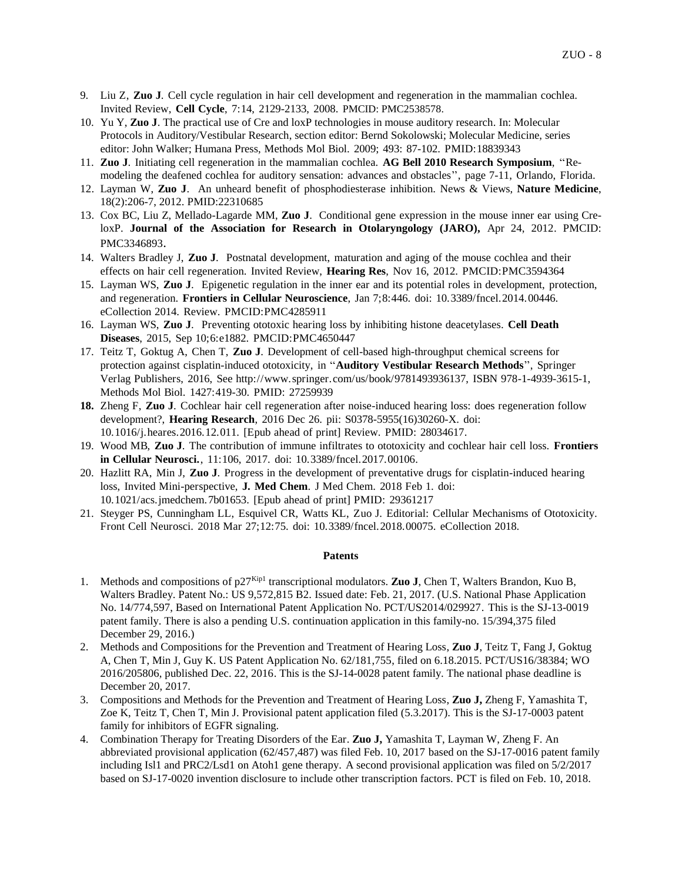- 9. Liu Z, **Zuo J**. Cell cycle regulation in hair cell development and regeneration in the mammalian cochlea. Invited Review, **Cell Cycle**, 7:14, 2129-2133, 2008. PMCID: PMC2538578.
- 10. Yu Y, **Zuo J**. The practical use of Cre and loxP technologies in mouse auditory research. In: Molecular Protocols in Auditory/Vestibular Research, section editor: Bernd Sokolowski; Molecular Medicine, series editor: John Walker; Humana Press, Methods Mol Biol. 2009; 493: 87-102. PMID:18839343
- 11. **Zuo J**. Initiating cell regeneration in the mammalian cochlea. **AG Bell 2010 Research Symposium**, ''Remodeling the deafened cochlea for auditory sensation: advances and obstacles'', page 7-11, Orlando, Florida.
- 12. Layman W, **Zuo J**. An unheard benefit of phosphodiesterase inhibition. News & Views, **Nature Medicine**, 18(2):206-7, 2012. PMID:22310685
- 13. Cox BC, Liu Z, Mellado-Lagarde MM, **Zuo J**. Conditional gene expression in the mouse inner ear using CreloxP. **Journal of the Association for Research in Otolaryngology (JARO),** Apr 24, 2012. PMCID: PMC3346893.
- 14. Walters Bradley J, **Zuo J**. Postnatal development, maturation and aging of the mouse cochlea and their effects on hair cell regeneration. Invited Review, **Hearing Res**, Nov 16, 2012. PMCID:PMC3594364
- 15. Layman WS, **Zuo J**. Epigenetic regulation in the inner ear and its potential roles in development, protection, and regeneration. **Frontiers in Cellular Neuroscience**, Jan 7;8:446. doi: 10.3389/fncel.2014.00446. eCollection 2014. Review. PMCID:PMC4285911
- 16. Layman WS, **Zuo J**. Preventing ototoxic hearing loss by inhibiting histone deacetylases. **Cell Death Diseases**, 2015, Sep 10;6:e1882. PMCID:PMC4650447
- 17. Teitz T, Goktug A, Chen T, **Zuo J**. Development of cell-based high-throughput chemical screens for protection against cisplatin-induced ototoxicity, in ''**Auditory Vestibular Research Methods**'', Springer Verlag Publishers, 2016, See http://www.springer.com/us/book/9781493936137, ISBN 978-1-4939-3615-1, Methods Mol Biol. 1427:419-30. PMID: 27259939
- **18.** Zheng F, **Zuo J**. Cochlear hair cell regeneration after noise-induced hearing loss: does regeneration follow development?, **Hearing Research**, 2016 Dec 26. pii: S0378-5955(16)30260-X. doi: 10.1016/j.heares.2016.12.011. [Epub ahead of print] Review. PMID: 28034617.
- 19. Wood MB, **Zuo J**. The contribution of immune infiltrates to ototoxicity and cochlear hair cell loss. **Frontiers in Cellular Neurosci.**, 11:106, 2017. doi: 10.3389/fncel.2017.00106.
- 20. Hazlitt RA, Min J, **Zuo J**. Progress in the development of preventative drugs for cisplatin-induced hearing loss, Invited Mini-perspective, **J. Med Chem**. J Med Chem. 2018 Feb 1. doi: 10.1021/acs.jmedchem.7b01653. [Epub ahead of print] PMID: 29361217
- 21. Steyger PS, Cunningham LL, Esquivel CR, Watts KL, Zuo J. Editorial: Cellular Mechanisms of Ototoxicity. Front Cell Neurosci. 2018 Mar 27;12:75. doi: 10.3389/fncel.2018.00075. eCollection 2018.

### **Patents**

- 1. Methods and compositions of p27Kip1 transcriptional modulators. **Zuo J**, Chen T, Walters Brandon, Kuo B, Walters Bradley. Patent No.: US 9,572,815 B2. Issued date: Feb. 21, 2017. (U.S. National Phase Application No. 14/774,597, Based on International Patent Application No. PCT/US2014/029927. This is the SJ-13-0019 patent family. There is also a pending U.S. continuation application in this family-no. 15/394,375 filed December 29, 2016.)
- 2. Methods and Compositions for the Prevention and Treatment of Hearing Loss, **Zuo J**, Teitz T, Fang J, Goktug A, Chen T, Min J, Guy K. US Patent Application No. 62/181,755, filed on 6.18.2015. PCT/US16/38384; WO 2016/205806, published Dec. 22, 2016. This is the SJ-14-0028 patent family. The national phase deadline is December 20, 2017.
- 3. Compositions and Methods for the Prevention and Treatment of Hearing Loss, **Zuo J,** Zheng F, Yamashita T, Zoe K, Teitz T, Chen T, Min J. Provisional patent application filed (5.3.2017). This is the SJ-17-0003 patent family for inhibitors of EGFR signaling.
- 4. Combination Therapy for Treating Disorders of the Ear. **Zuo J,** Yamashita T, Layman W, Zheng F. An abbreviated provisional application (62/457,487) was filed Feb. 10, 2017 based on the SJ-17-0016 patent family including Isl1 and PRC2/Lsd1 on Atoh1 gene therapy. A second provisional application was filed on 5/2/2017 based on SJ-17-0020 invention disclosure to include other transcription factors. PCT is filed on Feb. 10, 2018.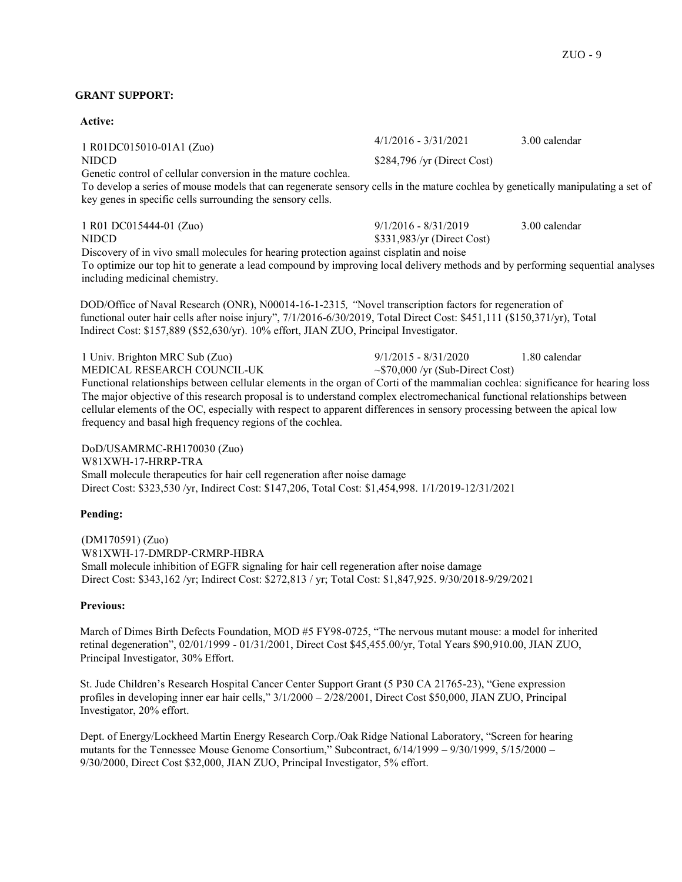## **GRANT SUPPORT:**

**Active:** 1 R01DC015010-01A1 (Zuo) 4/1/2016 - 3/31/2021 3.00 calendar NIDCD \$284,796 /yr (Direct Cost) Genetic control of cellular conversion in the mature cochlea. To develop a series of mouse models that can regenerate sensory cells in the mature cochlea by genetically manipulating a set of key genes in specific cells surrounding the sensory cells. 1 R01 DC015444-01 (Zuo) 9/1/2016 - 8/31/2019 3.00 calendar NIDCD \$331,983/yr (Direct Cost) Discovery of in vivo small molecules for hearing protection against cisplatin and noise To optimize our top hit to generate a lead compound by improving local delivery methods and by performing sequential analyses including medicinal chemistry.

DOD/Office of Naval Research (ONR), N00014-16-1-2315*, "*Novel transcription factors for regeneration of functional outer hair cells after noise injury", 7/1/2016-6/30/2019, Total Direct Cost: \$451,111 (\$150,371/yr), Total Indirect Cost: \$157,889 (\$52,630/yr). 10% effort, JIAN ZUO, Principal Investigator.

1 Univ. Brighton MRC Sub (Zuo) 9/1/2015 - 8/31/2020 1.80 calendar MEDICAL RESEARCH COUNCIL-UK  $\sim$  \$70,000 /yr (Sub-Direct Cost) Functional relationships between cellular elements in the organ of Corti of the mammalian cochlea: significance for hearing loss The major objective of this research proposal is to understand complex electromechanical functional relationships between cellular elements of the OC, especially with respect to apparent differences in sensory processing between the apical low frequency and basal high frequency regions of the cochlea.

DoD/USAMRMC-RH170030 (Zuo) W81XWH-17-HRRP-TRA Small molecule therapeutics for hair cell regeneration after noise damage Direct Cost: \$323,530 /yr, Indirect Cost: \$147,206, Total Cost: \$1,454,998. 1/1/2019-12/31/2021

### **Pending:**

(DM170591) (Zuo) W81XWH-17-DMRDP-CRMRP-HBRA Small molecule inhibition of EGFR signaling for hair cell regeneration after noise damage Direct Cost: \$343,162 /yr; Indirect Cost: \$272,813 / yr; Total Cost: \$1,847,925. 9/30/2018-9/29/2021

## **Previous:**

March of Dimes Birth Defects Foundation, MOD #5 FY98-0725, "The nervous mutant mouse: a model for inherited retinal degeneration", 02/01/1999 - 01/31/2001, Direct Cost \$45,455.00/yr, Total Years \$90,910.00, JIAN ZUO, Principal Investigator, 30% Effort.

St. Jude Children's Research Hospital Cancer Center Support Grant (5 P30 CA 21765-23), "Gene expression profiles in developing inner ear hair cells," 3/1/2000 – 2/28/2001, Direct Cost \$50,000, JIAN ZUO, Principal Investigator, 20% effort.

Dept. of Energy/Lockheed Martin Energy Research Corp./Oak Ridge National Laboratory, "Screen for hearing mutants for the Tennessee Mouse Genome Consortium," Subcontract, 6/14/1999 – 9/30/1999, 5/15/2000 – 9/30/2000, Direct Cost \$32,000, JIAN ZUO, Principal Investigator, 5% effort.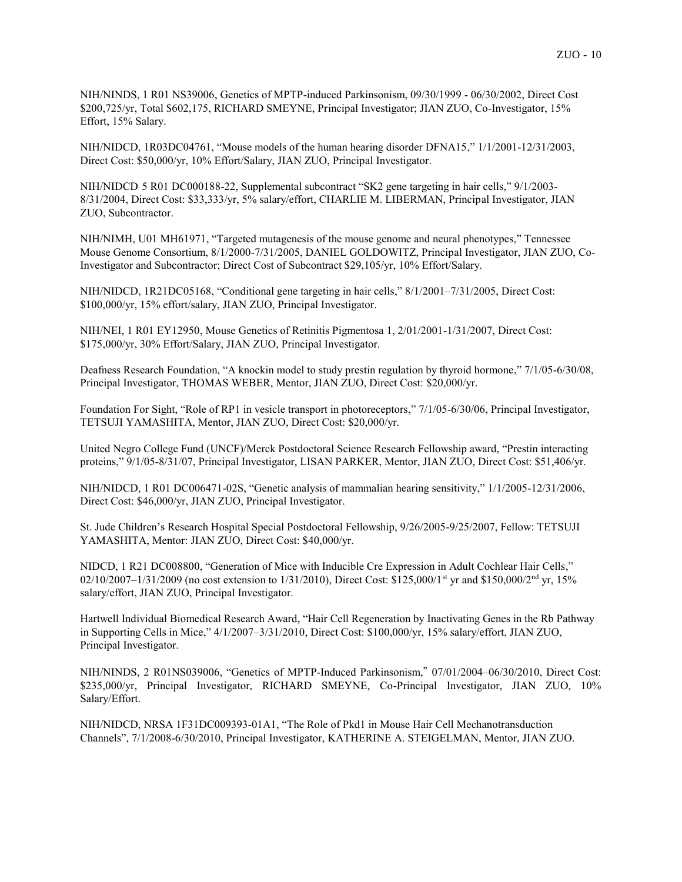NIH/NINDS, 1 R01 NS39006, Genetics of MPTP-induced Parkinsonism, 09/30/1999 - 06/30/2002, Direct Cost \$200,725/yr, Total \$602,175, RICHARD SMEYNE, Principal Investigator; JIAN ZUO, Co-Investigator, 15% Effort, 15% Salary.

NIH/NIDCD, 1R03DC04761, "Mouse models of the human hearing disorder DFNA15," 1/1/2001-12/31/2003, Direct Cost: \$50,000/yr, 10% Effort/Salary, JIAN ZUO, Principal Investigator.

NIH/NIDCD 5 R01 DC000188-22, Supplemental subcontract "SK2 gene targeting in hair cells," 9/1/2003- 8/31/2004, Direct Cost: \$33,333/yr, 5% salary/effort, CHARLIE M. LIBERMAN, Principal Investigator, JIAN ZUO, Subcontractor.

NIH/NIMH, U01 MH61971, "Targeted mutagenesis of the mouse genome and neural phenotypes," Tennessee Mouse Genome Consortium, 8/1/2000-7/31/2005, DANIEL GOLDOWITZ, Principal Investigator, JIAN ZUO, Co-Investigator and Subcontractor; Direct Cost of Subcontract \$29,105/yr, 10% Effort/Salary.

NIH/NIDCD, 1R21DC05168, "Conditional gene targeting in hair cells," 8/1/2001–7/31/2005, Direct Cost: \$100,000/yr, 15% effort/salary, JIAN ZUO, Principal Investigator.

NIH/NEI, 1 R01 EY12950, Mouse Genetics of Retinitis Pigmentosa 1, 2/01/2001-1/31/2007, Direct Cost: \$175,000/yr, 30% Effort/Salary, JIAN ZUO, Principal Investigator.

Deafness Research Foundation, "A knockin model to study prestin regulation by thyroid hormone," 7/1/05-6/30/08, Principal Investigator, THOMAS WEBER, Mentor, JIAN ZUO, Direct Cost: \$20,000/yr.

Foundation For Sight, "Role of RP1 in vesicle transport in photoreceptors," 7/1/05-6/30/06, Principal Investigator, TETSUJI YAMASHITA, Mentor, JIAN ZUO, Direct Cost: \$20,000/yr.

United Negro College Fund (UNCF)/Merck Postdoctoral Science Research Fellowship award, "Prestin interacting proteins," 9/1/05-8/31/07, Principal Investigator, LISAN PARKER, Mentor, JIAN ZUO, Direct Cost: \$51,406/yr.

NIH/NIDCD, 1 R01 DC006471-02S, "Genetic analysis of mammalian hearing sensitivity," 1/1/2005-12/31/2006, Direct Cost: \$46,000/yr, JIAN ZUO, Principal Investigator.

St. Jude Children's Research Hospital Special Postdoctoral Fellowship, 9/26/2005-9/25/2007, Fellow: TETSUJI YAMASHITA, Mentor: JIAN ZUO, Direct Cost: \$40,000/yr.

NIDCD, 1 R21 DC008800, "Generation of Mice with Inducible Cre Expression in Adult Cochlear Hair Cells," 02/10/2007–1/31/2009 (no cost extension to 1/31/2010), Direct Cost: \$125,000/1<sup>st</sup> yr and \$150,000/2<sup>nd</sup> yr, 15% salary/effort, JIAN ZUO, Principal Investigator.

Hartwell Individual Biomedical Research Award, "Hair Cell Regeneration by Inactivating Genes in the Rb Pathway in Supporting Cells in Mice," 4/1/2007–3/31/2010, Direct Cost: \$100,000/yr, 15% salary/effort, JIAN ZUO, Principal Investigator.

NIH/NINDS, 2 R01NS039006, "Genetics of MPTP-Induced Parkinsonism," 07/01/2004–06/30/2010, Direct Cost: \$235,000/yr, Principal Investigator, RICHARD SMEYNE, Co-Principal Investigator, JIAN ZUO, 10% Salary/Effort.

NIH/NIDCD, NRSA 1F31DC009393-01A1, "The Role of Pkd1 in Mouse Hair Cell Mechanotransduction Channels", 7/1/2008-6/30/2010, Principal Investigator, KATHERINE A. STEIGELMAN, Mentor, JIAN ZUO.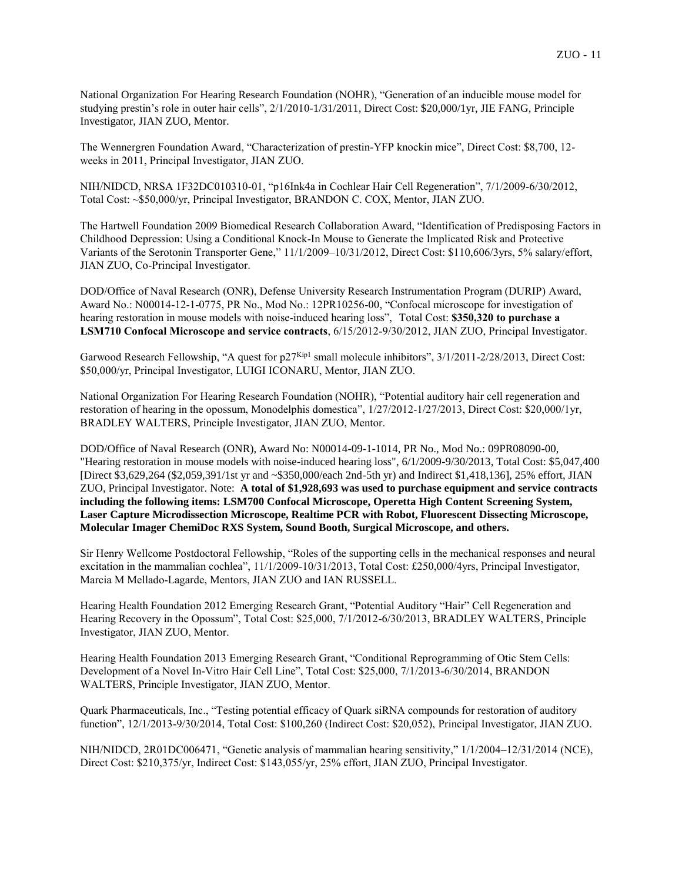National Organization For Hearing Research Foundation (NOHR), "Generation of an inducible mouse model for studying prestin's role in outer hair cells", 2/1/2010-1/31/2011, Direct Cost: \$20,000/1yr, JIE FANG, Principle Investigator, JIAN ZUO, Mentor.

The Wennergren Foundation Award, "Characterization of prestin-YFP knockin mice", Direct Cost: \$8,700, 12 weeks in 2011, Principal Investigator, JIAN ZUO.

NIH/NIDCD, NRSA 1F32DC010310-01, "p16Ink4a in Cochlear Hair Cell Regeneration", 7/1/2009-6/30/2012, Total Cost: ~\$50,000/yr, Principal Investigator, BRANDON C. COX, Mentor, JIAN ZUO.

The Hartwell Foundation 2009 Biomedical Research Collaboration Award, "Identification of Predisposing Factors in Childhood Depression: Using a Conditional Knock-In Mouse to Generate the Implicated Risk and Protective Variants of the Serotonin Transporter Gene," 11/1/2009–10/31/2012, Direct Cost: \$110,606/3yrs, 5% salary/effort, JIAN ZUO, Co-Principal Investigator.

DOD/Office of Naval Research (ONR), Defense University Research Instrumentation Program (DURIP) Award, Award No.: N00014-12-1-0775, PR No., Mod No.: 12PR10256-00, "Confocal microscope for investigation of hearing restoration in mouse models with noise-induced hearing loss", Total Cost: **\$350,320 to purchase a LSM710 Confocal Microscope and service contracts**, 6/15/2012-9/30/2012, JIAN ZUO, Principal Investigator.

Garwood Research Fellowship, "A quest for p27<sup>Kip1</sup> small molecule inhibitors", 3/1/2011-2/28/2013, Direct Cost: \$50,000/yr, Principal Investigator, LUIGI ICONARU, Mentor, JIAN ZUO.

National Organization For Hearing Research Foundation (NOHR), "Potential auditory hair cell regeneration and restoration of hearing in the opossum, Monodelphis domestica", 1/27/2012-1/27/2013, Direct Cost: \$20,000/1yr, BRADLEY WALTERS, Principle Investigator, JIAN ZUO, Mentor.

DOD/Office of Naval Research (ONR), Award No: N00014-09-1-1014, PR No., Mod No.: 09PR08090-00, "Hearing restoration in mouse models with noise-induced hearing loss", 6/1/2009-9/30/2013, Total Cost: \$5,047,400 [Direct \$3,629,264 (\$2,059,391/1st yr and ~\$350,000/each 2nd-5th yr) and Indirect \$1,418,136], 25% effort, JIAN ZUO, Principal Investigator. Note: **A total of \$1,928,693 was used to purchase equipment and service contracts including the following items: LSM700 Confocal Microscope, Operetta High Content Screening System, Laser Capture Microdissection Microscope, Realtime PCR with Robot, Fluorescent Dissecting Microscope, Molecular Imager ChemiDoc RXS System, Sound Booth, Surgical Microscope, and others.**

Sir Henry Wellcome Postdoctoral Fellowship, "Roles of the supporting cells in the mechanical responses and neural excitation in the mammalian cochlea", 11/1/2009-10/31/2013, Total Cost: £250,000/4yrs, Principal Investigator, Marcia M Mellado-Lagarde, Mentors, JIAN ZUO and IAN RUSSELL.

Hearing Health Foundation 2012 Emerging Research Grant, "Potential Auditory "Hair" Cell Regeneration and Hearing Recovery in the Opossum", Total Cost: \$25,000, 7/1/2012-6/30/2013, BRADLEY WALTERS, Principle Investigator, JIAN ZUO, Mentor.

Hearing Health Foundation 2013 Emerging Research Grant, "Conditional Reprogramming of Otic Stem Cells: Development of a Novel In-Vitro Hair Cell Line", Total Cost: \$25,000, 7/1/2013-6/30/2014, BRANDON WALTERS, Principle Investigator, JIAN ZUO, Mentor.

Quark Pharmaceuticals, Inc., "Testing potential efficacy of Quark siRNA compounds for restoration of auditory function", 12/1/2013-9/30/2014, Total Cost: \$100,260 (Indirect Cost: \$20,052), Principal Investigator, JIAN ZUO.

NIH/NIDCD, 2R01DC006471, "Genetic analysis of mammalian hearing sensitivity," 1/1/2004–12/31/2014 (NCE), Direct Cost: \$210,375/yr, Indirect Cost: \$143,055/yr, 25% effort, JIAN ZUO, Principal Investigator.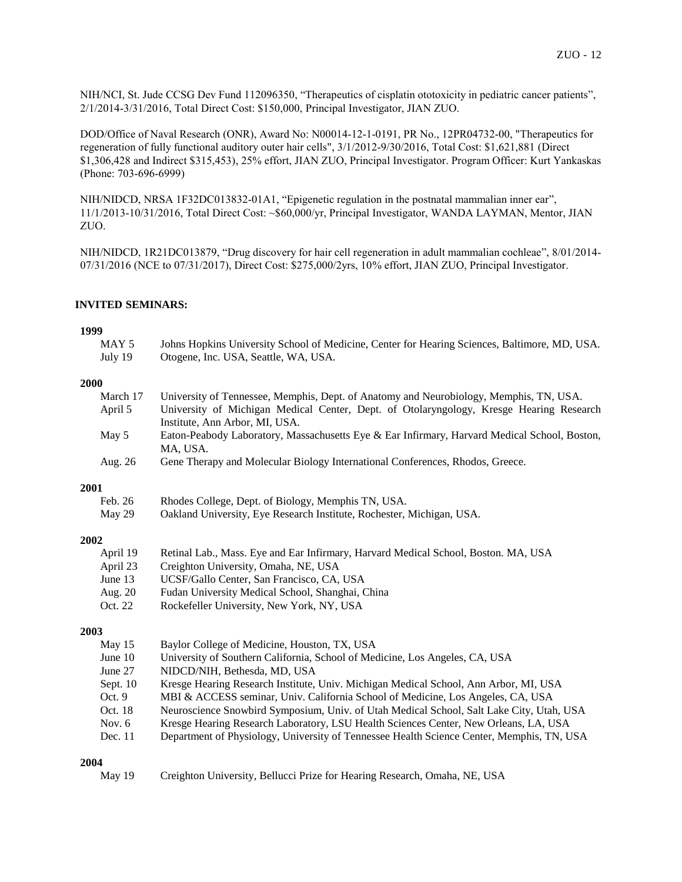NIH/NCI, St. Jude CCSG Dev Fund 112096350, "Therapeutics of cisplatin ototoxicity in pediatric cancer patients", 2/1/2014-3/31/2016, Total Direct Cost: \$150,000, Principal Investigator, JIAN ZUO.

DOD/Office of Naval Research (ONR), Award No: N00014-12-1-0191, PR No., 12PR04732-00, "Therapeutics for regeneration of fully functional auditory outer hair cells", 3/1/2012-9/30/2016, Total Cost: \$1,621,881 (Direct \$1,306,428 and Indirect \$315,453), 25% effort, JIAN ZUO, Principal Investigator. Program Officer: Kurt Yankaskas (Phone: 703-696-6999)

NIH/NIDCD, NRSA 1F32DC013832-01A1, "Epigenetic regulation in the postnatal mammalian inner ear", 11/1/2013-10/31/2016, Total Direct Cost: ~\$60,000/yr, Principal Investigator, WANDA LAYMAN, Mentor, JIAN ZUO.

NIH/NIDCD, 1R21DC013879, "Drug discovery for hair cell regeneration in adult mammalian cochleae", 8/01/2014- 07/31/2016 (NCE to 07/31/2017), Direct Cost: \$275,000/2yrs, 10% effort, JIAN ZUO, Principal Investigator.

### **INVITED SEMINARS:**

#### **1999**

| MAY 5   | Johns Hopkins University School of Medicine, Center for Hearing Sciences, Baltimore, MD, USA. |
|---------|-----------------------------------------------------------------------------------------------|
| July 19 | Otogene, Inc. USA, Seattle, WA, USA.                                                          |

#### **2000**

| March 17  | University of Tennessee, Memphis, Dept. of Anatomy and Neurobiology, Memphis, TN, USA.       |
|-----------|----------------------------------------------------------------------------------------------|
| April 5   | University of Michigan Medical Center, Dept. of Otolaryngology, Kresge Hearing Research      |
|           | Institute, Ann Arbor, MI, USA.                                                               |
| May 5     | Eaton-Peabody Laboratory, Massachusetts Eye & Ear Infirmary, Harvard Medical School, Boston, |
|           | MA, USA.                                                                                     |
| Aug. 26   | Gene Therapy and Molecular Biology International Conferences, Rhodos, Greece.                |
| 2001      |                                                                                              |
| Feb. 26   | Rhodes College, Dept. of Biology, Memphis TN, USA.                                           |
| May 29    | Oakland University, Eye Research Institute, Rochester, Michigan, USA.                        |
| 2002      |                                                                                              |
| April 19  | Retinal Lab., Mass. Eye and Ear Infirmary, Harvard Medical School, Boston. MA, USA           |
| April 23  | Creighton University, Omaha, NE, USA                                                         |
| June 13   | UCSF/Gallo Center, San Francisco, CA, USA                                                    |
| Aug. 20   | Fudan University Medical School, Shanghai, China                                             |
| Oct. 22   | Rockefeller University, New York, NY, USA                                                    |
| 2003      |                                                                                              |
| May $15$  | Baylor College of Medicine, Houston, TX, USA                                                 |
| June $10$ | University of Southern California, School of Medicine, Los Angeles, CA, USA                  |
| June 27   | NIDCD/NIH, Bethesda, MD, USA                                                                 |
|           |                                                                                              |

- Sept. 10 Kresge Hearing Research Institute, Univ. Michigan Medical School, Ann Arbor, MI, USA
- Oct. 9 MBI & ACCESS seminar, Univ. California School of Medicine, Los Angeles, CA, USA
- Oct. 18 Neuroscience Snowbird Symposium, Univ. of Utah Medical School, Salt Lake City, Utah, USA
- Nov. 6 Kresge Hearing Research Laboratory, LSU Health Sciences Center, New Orleans, LA, USA
- Dec. 11 Department of Physiology, University of Tennessee Health Science Center, Memphis, TN, USA

### **2004**

| May 19 | Creighton University, Bellucci Prize for Hearing Research, Omaha, NE, USA |  |  |  |
|--------|---------------------------------------------------------------------------|--|--|--|
|        |                                                                           |  |  |  |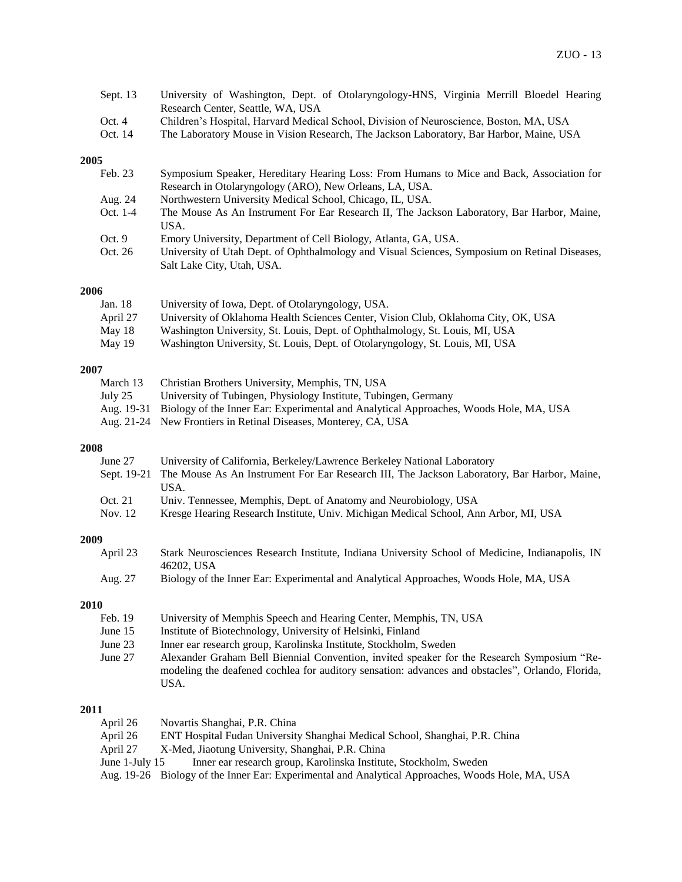| Sept. $13$ | University of Washington, Dept. of Otolaryngology-HNS, Virginia Merrill Bloedel Hearing |
|------------|-----------------------------------------------------------------------------------------|
|            | Research Center, Seattle, WA, USA                                                       |
| Oct. 4     | Children's Hospital, Harvard Medical School, Division of Neuroscience, Boston, MA, USA  |
| Oct. 14    | The Laboratory Mouse in Vision Research, The Jackson Laboratory, Bar Harbor, Maine, USA |

## **2005**

| Feb. 23  | Symposium Speaker, Hereditary Hearing Loss: From Humans to Mice and Back, Association for     |
|----------|-----------------------------------------------------------------------------------------------|
|          | Research in Otolaryngology (ARO), New Orleans, LA, USA.                                       |
| Aug. 24  | Northwestern University Medical School, Chicago, IL, USA.                                     |
| Oct. 1-4 | The Mouse As An Instrument For Ear Research II, The Jackson Laboratory, Bar Harbor, Maine,    |
|          | USA.                                                                                          |
| Oct. $9$ | Emory University, Department of Cell Biology, Atlanta, GA, USA.                               |
| Oct. 26  | University of Utah Dept. of Ophthalmology and Visual Sciences, Symposium on Retinal Diseases, |
|          | Salt Lake City, Utah, USA.                                                                    |

### **2006**

| Jan. 18  | University of Iowa, Dept. of Otolaryngology, USA.                                  |
|----------|------------------------------------------------------------------------------------|
| April 27 | University of Oklahoma Health Sciences Center, Vision Club, Oklahoma City, OK, USA |
| May 18   | Washington University, St. Louis, Dept. of Ophthalmology, St. Louis, MI, USA       |
| May 19   | Washington University, St. Louis, Dept. of Otolaryngology, St. Louis, MI, USA      |

## **2007**

| March 13 | Christian Brothers University, Memphis, TN, USA                                                  |
|----------|--------------------------------------------------------------------------------------------------|
| July 25  | University of Tubingen, Physiology Institute, Tubingen, Germany                                  |
|          | Aug. 19-31 Biology of the Inner Ear: Experimental and Analytical Approaches, Woods Hole, MA, USA |
|          | Aug. 21-24 New Frontiers in Retinal Diseases, Monterey, CA, USA                                  |
|          |                                                                                                  |

## **2008**

| June 27 | University of California, Berkeley/Lawrence Berkeley National Laboratory                                |
|---------|---------------------------------------------------------------------------------------------------------|
|         | Sept. 19-21 The Mouse As An Instrument For Ear Research III, The Jackson Laboratory, Bar Harbor, Maine, |
|         | USA.                                                                                                    |
| Oct. 21 | Univ. Tennessee, Memphis, Dept. of Anatomy and Neurobiology, USA                                        |
| Nov. 12 | Kresge Hearing Research Institute, Univ. Michigan Medical School, Ann Arbor, MI, USA                    |
|         |                                                                                                         |

## **2009**

| April 23 | Stark Neurosciences Research Institute, Indiana University School of Medicine, Indianapolis, IN<br>46202. USA |
|----------|---------------------------------------------------------------------------------------------------------------|
| Aug. 27  | Biology of the Inner Ear: Experimental and Analytical Approaches, Woods Hole, MA, USA                         |
| 2010     |                                                                                                               |
| Feb. 19  | University of Memphis Speech and Hearing Center, Memphis, TN, USA                                             |

## June 15 Institute of Biotechnology, University of Helsinki, Finland

- June 23 Inner ear research group, Karolinska Institute, Stockholm, Sweden
- Alexander Graham Bell Biennial Convention, invited speaker for the Research Symposium "Remodeling the deafened cochlea for auditory sensation: advances and obstacles", Orlando, Florida, USA.

## **2011**

| April 26         | Novartis Shanghai, P.R. China                                                                    |
|------------------|--------------------------------------------------------------------------------------------------|
| April 26         | ENT Hospital Fudan University Shanghai Medical School, Shanghai, P.R. China                      |
| April 27         | X-Med, Jiaotung University, Shanghai, P.R. China                                                 |
| June 1-July $15$ | Inner ear research group, Karolinska Institute, Stockholm, Sweden                                |
|                  | Aug. 19-26 Biology of the Inner Ear: Experimental and Analytical Approaches, Woods Hole, MA, USA |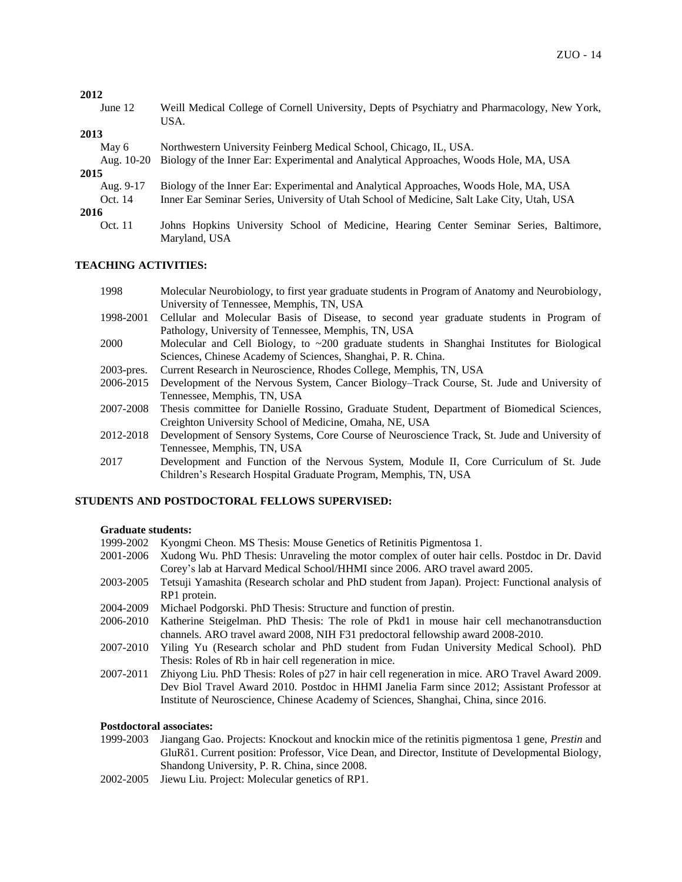#### **2012**

June 12 Weill Medical College of Cornell University, Depts of Psychiatry and Pharmacology, New York, USA.

## **2013**

| May 6<br>Aug. $10-20$ | Northwestern University Feinberg Medical School, Chicago, IL, USA.<br>Biology of the Inner Ear: Experimental and Analytical Approaches, Woods Hole, MA, USA |  |  |  |  |
|-----------------------|-------------------------------------------------------------------------------------------------------------------------------------------------------------|--|--|--|--|
| 2015                  |                                                                                                                                                             |  |  |  |  |
| Aug. 9-17             | Biology of the Inner Ear: Experimental and Analytical Approaches, Woods Hole, MA, USA                                                                       |  |  |  |  |
| Oct. 14               | Inner Ear Seminar Series, University of Utah School of Medicine, Salt Lake City, Utah, USA                                                                  |  |  |  |  |
| 2016                  |                                                                                                                                                             |  |  |  |  |
| Oct. 11               | Johns Hopkins University School of Medicine, Hearing Center Seminar Series, Baltimore,                                                                      |  |  |  |  |
|                       | Maryland, USA                                                                                                                                               |  |  |  |  |

## **TEACHING ACTIVITIES:**

| 1998 | Molecular Neurobiology, to first year graduate students in Program of Anatomy and Neurobiology, |
|------|-------------------------------------------------------------------------------------------------|
|      | University of Tennessee, Memphis, TN, USA                                                       |

- 1998-2001 Cellular and Molecular Basis of Disease, to second year graduate students in Program of Pathology, University of Tennessee, Memphis, TN, USA
- 2000 Molecular and Cell Biology, to ~200 graduate students in Shanghai Institutes for Biological Sciences, Chinese Academy of Sciences, Shanghai, P. R. China.
- 2003-pres. Current Research in Neuroscience, Rhodes College, Memphis, TN, USA
- 2006-2015 Development of the Nervous System, Cancer Biology–Track Course, St. Jude and University of Tennessee, Memphis, TN, USA
- 2007-2008 Thesis committee for Danielle Rossino, Graduate Student, Department of Biomedical Sciences, Creighton University School of Medicine, Omaha, NE, USA
- 2012-2018 Development of Sensory Systems, Core Course of Neuroscience Track, St. Jude and University of Tennessee, Memphis, TN, USA
- 2017 Development and Function of the Nervous System, Module II, Core Curriculum of St. Jude Children's Research Hospital Graduate Program, Memphis, TN, USA

### **STUDENTS AND POSTDOCTORAL FELLOWS SUPERVISED:**

#### **Graduate students:**

| 1999-2002 Kyongmi Cheon. MS Thesis: Mouse Genetics of Retinitis Pigmentosa 1.             |
|-------------------------------------------------------------------------------------------|
| 2001-2006 Xudong Wu. PhD Thesis: Unraveling the motor complex of outer hair cells. Postdo |

- oc in Dr. David Corey's lab at Harvard Medical School/HHMI since 2006. ARO travel award 2005.
- 2003-2005 Tetsuji Yamashita (Research scholar and PhD student from Japan). Project: Functional analysis of RP1 protein.
- 2004-2009 Michael Podgorski. PhD Thesis: Structure and function of prestin.
- 2006-2010 Katherine Steigelman. PhD Thesis: The role of Pkd1 in mouse hair cell mechanotransduction channels. ARO travel award 2008, NIH F31 predoctoral fellowship award 2008-2010.
- 2007-2010 Yiling Yu (Research scholar and PhD student from Fudan University Medical School). PhD Thesis: Roles of Rb in hair cell regeneration in mice.
- 2007-2011 Zhiyong Liu. PhD Thesis: Roles of p27 in hair cell regeneration in mice. ARO Travel Award 2009. Dev Biol Travel Award 2010. Postdoc in HHMI Janelia Farm since 2012; Assistant Professor at Institute of Neuroscience, Chinese Academy of Sciences, Shanghai, China, since 2016.

## **Postdoctoral associates:**

- 1999-2003 Jiangang Gao. Projects: Knockout and knockin mice of the retinitis pigmentosa 1 gene, *Prestin* and GluR1. Current position: Professor, Vice Dean, and Director, Institute of Developmental Biology, Shandong University, P. R. China, since 2008.
- 2002-2005 Jiewu Liu. Project: Molecular genetics of RP1.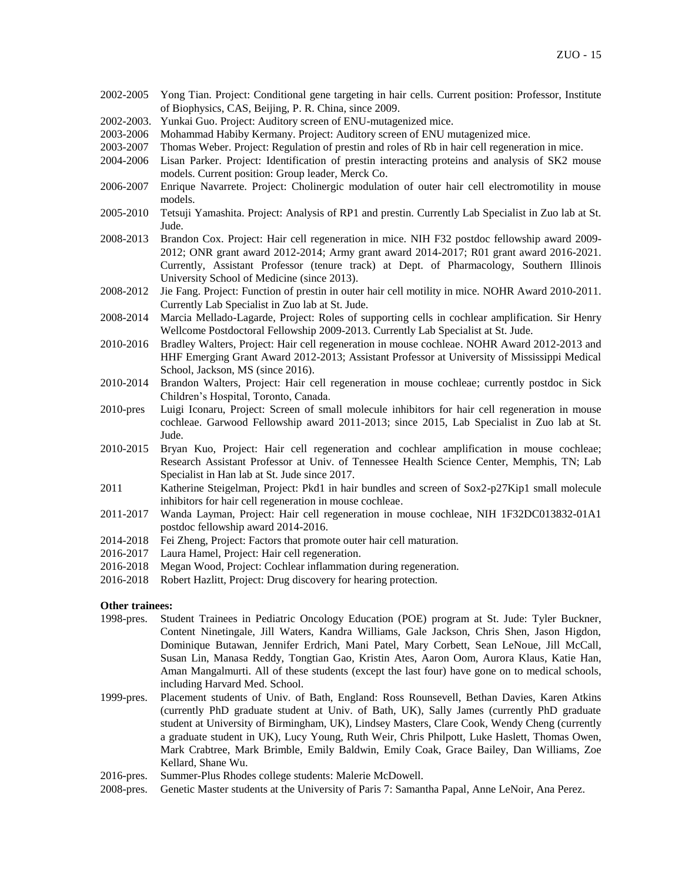- 2002-2005 Yong Tian. Project: Conditional gene targeting in hair cells. Current position: Professor, Institute of Biophysics, CAS, Beijing, P. R. China, since 2009.
- 2002-2003. Yunkai Guo. Project: Auditory screen of ENU-mutagenized mice.
- 2003-2006 Mohammad Habiby Kermany. Project: Auditory screen of ENU mutagenized mice.
- 2003-2007 Thomas Weber. Project: Regulation of prestin and roles of Rb in hair cell regeneration in mice.
- 2004-2006 Lisan Parker. Project: Identification of prestin interacting proteins and analysis of SK2 mouse models. Current position: Group leader, Merck Co.
- 2006-2007 Enrique Navarrete. Project: Cholinergic modulation of outer hair cell electromotility in mouse models.
- 2005-2010 Tetsuji Yamashita. Project: Analysis of RP1 and prestin. Currently Lab Specialist in Zuo lab at St. Jude.
- 2008-2013 Brandon Cox. Project: Hair cell regeneration in mice. NIH F32 postdoc fellowship award 2009- 2012; ONR grant award 2012-2014; Army grant award 2014-2017; R01 grant award 2016-2021. Currently, Assistant Professor (tenure track) at Dept. of Pharmacology, Southern Illinois University School of Medicine (since 2013).
- 2008-2012 Jie Fang. Project: Function of prestin in outer hair cell motility in mice. NOHR Award 2010-2011. Currently Lab Specialist in Zuo lab at St. Jude.
- 2008-2014 Marcia Mellado-Lagarde, Project: Roles of supporting cells in cochlear amplification. Sir Henry Wellcome Postdoctoral Fellowship 2009-2013. Currently Lab Specialist at St. Jude.
- 2010-2016 Bradley Walters, Project: Hair cell regeneration in mouse cochleae. NOHR Award 2012-2013 and HHF Emerging Grant Award 2012-2013; Assistant Professor at University of Mississippi Medical School, Jackson, MS (since 2016).
- 2010-2014 Brandon Walters, Project: Hair cell regeneration in mouse cochleae; currently postdoc in Sick Children's Hospital, Toronto, Canada.
- 2010-pres Luigi Iconaru, Project: Screen of small molecule inhibitors for hair cell regeneration in mouse cochleae. Garwood Fellowship award 2011-2013; since 2015, Lab Specialist in Zuo lab at St. Jude.
- 2010-2015 Bryan Kuo, Project: Hair cell regeneration and cochlear amplification in mouse cochleae; Research Assistant Professor at Univ. of Tennessee Health Science Center, Memphis, TN; Lab Specialist in Han lab at St. Jude since 2017.
- 2011 Katherine Steigelman, Project: Pkd1 in hair bundles and screen of Sox2-p27Kip1 small molecule inhibitors for hair cell regeneration in mouse cochleae.
- 2011-2017 Wanda Layman, Project: Hair cell regeneration in mouse cochleae, NIH 1F32DC013832-01A1 postdoc fellowship award 2014-2016.
- 2014-2018 Fei Zheng, Project: Factors that promote outer hair cell maturation.
- 2016-2017 Laura Hamel, Project: Hair cell regeneration.
- 2016-2018 Megan Wood, Project: Cochlear inflammation during regeneration.
- 2016-2018 Robert Hazlitt, Project: Drug discovery for hearing protection.

#### **Other trainees:**

- 1998-pres. Student Trainees in Pediatric Oncology Education (POE) program at St. Jude: Tyler Buckner, Content Ninetingale, Jill Waters, Kandra Williams, Gale Jackson, Chris Shen, Jason Higdon, Dominique Butawan, Jennifer Erdrich, Mani Patel, Mary Corbett, Sean LeNoue, Jill McCall, Susan Lin, Manasa Reddy, Tongtian Gao, Kristin Ates, Aaron Oom, Aurora Klaus, Katie Han, Aman Mangalmurti. All of these students (except the last four) have gone on to medical schools, including Harvard Med. School.
- 1999-pres. Placement students of Univ. of Bath, England: Ross Rounsevell, Bethan Davies, Karen Atkins (currently PhD graduate student at Univ. of Bath, UK), Sally James (currently PhD graduate student at University of Birmingham, UK), Lindsey Masters, Clare Cook, Wendy Cheng (currently a graduate student in UK), Lucy Young, Ruth Weir, Chris Philpott, Luke Haslett, Thomas Owen, Mark Crabtree, Mark Brimble, Emily Baldwin, Emily Coak, Grace Bailey, Dan Williams, Zoe Kellard, Shane Wu.
- 2016-pres. Summer-Plus Rhodes college students: Malerie McDowell.
- 2008-pres. Genetic Master students at the University of Paris 7: Samantha Papal, Anne LeNoir, Ana Perez.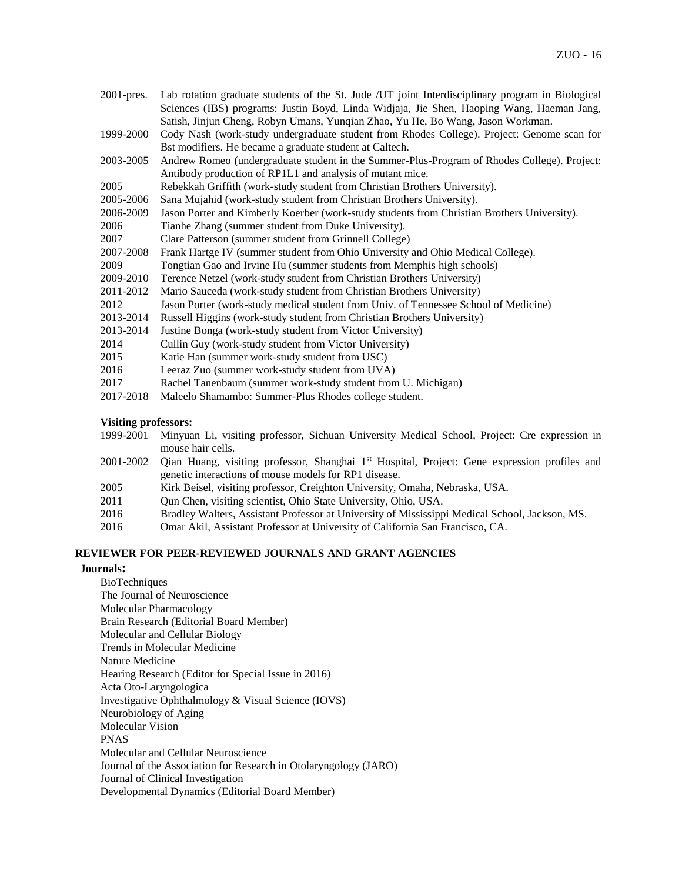| $2001$ -pres. | Lab rotation graduate students of the St. Jude /UT joint Interdisciplinary program in Biological |  |  |  |
|---------------|--------------------------------------------------------------------------------------------------|--|--|--|
|               | Sciences (IBS) programs: Justin Boyd, Linda Widjaja, Jie Shen, Haoping Wang, Haeman Jang,        |  |  |  |
|               | Satish, Jinjun Cheng, Robyn Umans, Yunqian Zhao, Yu He, Bo Wang, Jason Workman.                  |  |  |  |
| 1999-2000     | Cody Nash (work-study undergraduate student from Rhodes College). Project: Genome scan for       |  |  |  |
|               | Bst modifiers. He became a graduate student at Caltech.                                          |  |  |  |
| 2003-2005     | Andrew Romeo (undergraduate student in the Summer-Plus-Program of Rhodes College). Project:      |  |  |  |
|               | Antibody production of RP1L1 and analysis of mutant mice.                                        |  |  |  |
| 2005          | Rebekkah Griffith (work-study student from Christian Brothers University).                       |  |  |  |
| 2005-2006     | Sana Mujahid (work-study student from Christian Brothers University).                            |  |  |  |
| 2006-2009     | Jason Porter and Kimberly Koerber (work-study students from Christian Brothers University).      |  |  |  |
| 2006          | Tianhe Zhang (summer student from Duke University).                                              |  |  |  |
| 2007          | Clare Patterson (summer student from Grinnell College)                                           |  |  |  |
| 2007-2008     | Frank Hartge IV (summer student from Ohio University and Ohio Medical College).                  |  |  |  |
| 2009          | Tongtian Gao and Irvine Hu (summer students from Memphis high schools)                           |  |  |  |
| 2009-2010     | Terence Netzel (work-study student from Christian Brothers University)                           |  |  |  |
| 2011-2012     | Mario Sauceda (work-study student from Christian Brothers University)                            |  |  |  |
| 2012          | Jason Porter (work-study medical student from Univ. of Tennessee School of Medicine)             |  |  |  |
| 2013-2014     | Russell Higgins (work-study student from Christian Brothers University)                          |  |  |  |
| 2013-2014     | Justine Bonga (work-study student from Victor University)                                        |  |  |  |
| 2014          | Cullin Guy (work-study student from Victor University)                                           |  |  |  |
| 2015          | Katie Han (summer work-study student from USC)                                                   |  |  |  |
| 2016          | Leeraz Zuo (summer work-study student from UVA)                                                  |  |  |  |
| 2017          | Rachel Tanenbaum (summer work-study student from U. Michigan)                                    |  |  |  |
| 2017-2018     | Maleelo Shamambo: Summer-Plus Rhodes college student.                                            |  |  |  |
|               |                                                                                                  |  |  |  |

## **Visiting professors:**

| 1999-2001 Minyuan Li, visiting professor, Sichuan University Medical School, Project: Cre expression in |  |  |
|---------------------------------------------------------------------------------------------------------|--|--|
| mouse hair cells.                                                                                       |  |  |

- 2001-2002 Qian Huang, visiting professor, Shanghai 1<sup>st</sup> Hospital, Project: Gene expression profiles and genetic interactions of mouse models for RP1 disease.
- 2005 Kirk Beisel, visiting professor, Creighton University, Omaha, Nebraska, USA.
- 2011 Qun Chen, visiting scientist, Ohio State University, Ohio, USA.
- 2016 Bradley Walters, Assistant Professor at University of Mississippi Medical School, Jackson, MS.
- 2016 Omar Akil, Assistant Professor at University of California San Francisco, CA.

## **REVIEWER FOR PEER-REVIEWED JOURNALS AND GRANT AGENCIES**

## **Journals:**

BioTechniques The Journal of Neuroscience Molecular Pharmacology Brain Research (Editorial Board Member) Molecular and Cellular Biology Trends in Molecular Medicine Nature Medicine Hearing Research (Editor for Special Issue in 2016) Acta Oto-Laryngologica Investigative Ophthalmology & Visual Science (IOVS) Neurobiology of Aging Molecular Vision PNAS Molecular and Cellular Neuroscience Journal of the Association for Research in Otolaryngology (JARO) Journal of Clinical Investigation Developmental Dynamics (Editorial Board Member)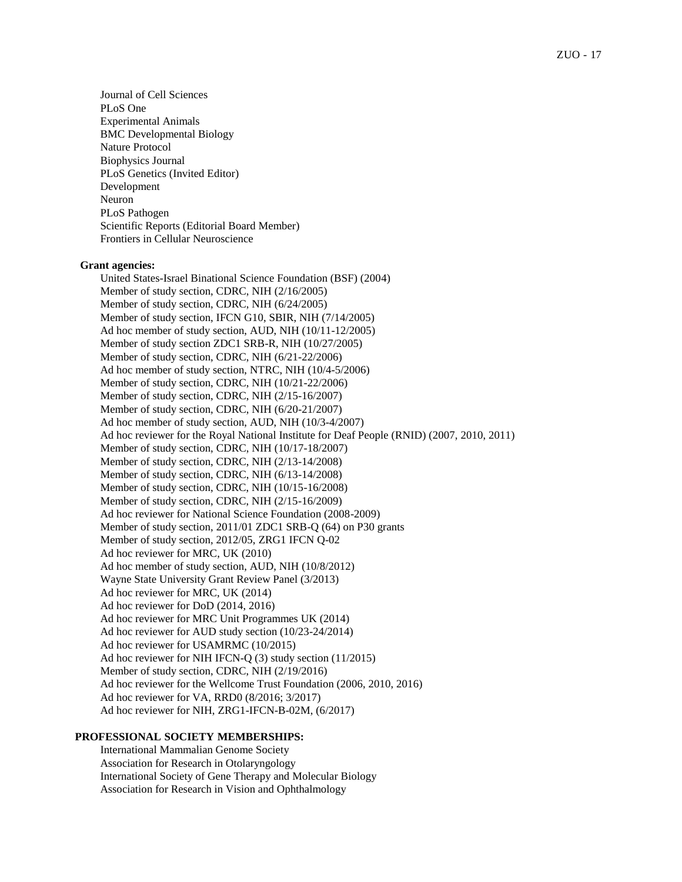Journal of Cell Sciences PLoS One Experimental Animals BMC Developmental Biology Nature Protocol Biophysics Journal PLoS Genetics (Invited Editor) Development Neuron PLoS Pathogen Scientific Reports (Editorial Board Member) Frontiers in Cellular Neuroscience

#### **Grant agencies:**

United States-Israel Binational Science Foundation (BSF) (2004) Member of study section, CDRC, NIH (2/16/2005) Member of study section, CDRC, NIH (6/24/2005) Member of study section, IFCN G10, SBIR, NIH (7/14/2005) Ad hoc member of study section, AUD, NIH (10/11-12/2005) Member of study section ZDC1 SRB-R, NIH (10/27/2005) Member of study section, CDRC, NIH (6/21-22/2006) Ad hoc member of study section, NTRC, NIH (10/4-5/2006) Member of study section, CDRC, NIH (10/21-22/2006) Member of study section, CDRC, NIH (2/15-16/2007) Member of study section, CDRC, NIH (6/20-21/2007) Ad hoc member of study section, AUD, NIH (10/3-4/2007) Ad hoc reviewer for the Royal National Institute for Deaf People (RNID) (2007, 2010, 2011) Member of study section, CDRC, NIH (10/17-18/2007) Member of study section, CDRC, NIH (2/13-14/2008) Member of study section, CDRC, NIH (6/13-14/2008) Member of study section, CDRC, NIH (10/15-16/2008) Member of study section, CDRC, NIH (2/15-16/2009) Ad hoc reviewer for National Science Foundation (2008-2009) Member of study section, 2011/01 ZDC1 SRB-Q (64) on P30 grants Member of study section, 2012/05, ZRG1 IFCN Q-02 Ad hoc reviewer for MRC, UK (2010) Ad hoc member of study section, AUD, NIH (10/8/2012) Wayne State University Grant Review Panel (3/2013) Ad hoc reviewer for MRC, UK (2014) Ad hoc reviewer for DoD (2014, 2016) Ad hoc reviewer for MRC Unit Programmes UK (2014) Ad hoc reviewer for AUD study section (10/23-24/2014) Ad hoc reviewer for USAMRMC (10/2015) Ad hoc reviewer for NIH IFCN-Q (3) study section (11/2015) Member of study section, CDRC, NIH (2/19/2016) Ad hoc reviewer for the Wellcome Trust Foundation (2006, 2010, 2016) Ad hoc reviewer for VA, RRD0 (8/2016; 3/2017) Ad hoc reviewer for NIH, ZRG1-IFCN-B-02M, (6/2017)

#### **PROFESSIONAL SOCIETY MEMBERSHIPS:**

International Mammalian Genome Society Association for Research in Otolaryngology International Society of Gene Therapy and Molecular Biology Association for Research in Vision and Ophthalmology